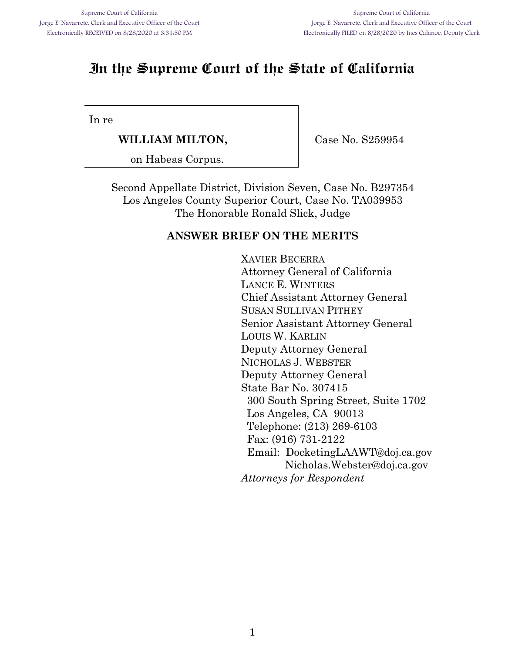# **In the Supreme Court of the State of California**

In re

**WILLIAM MILTON,**

Case No. S259954

on Habeas Corpus.

Second Appellate District, Division Seven, Case No. B297354 Los Angeles County Superior Court, Case No. TA039953 The Honorable Ronald Slick, Judge

### **ANSWER BRIEF ON THE MERITS**

XAVIER BECERRA Attorney General of California LANCE E. WINTERS Chief Assistant Attorney General SUSAN SULLIVAN PITHEY Senior Assistant Attorney General LOUIS W. KARLIN Deputy Attorney General NICHOLAS J. WEBSTER Deputy Attorney General State Bar No. 307415 300 South Spring Street, Suite 1702 Los Angeles, CA 90013 Telephone: (213) 269-6103 Fax: (916) 731-2122 Email: DocketingLAAWT@doj.ca.gov Nicholas.Webster@doj.ca.gov *Attorneys for Respondent*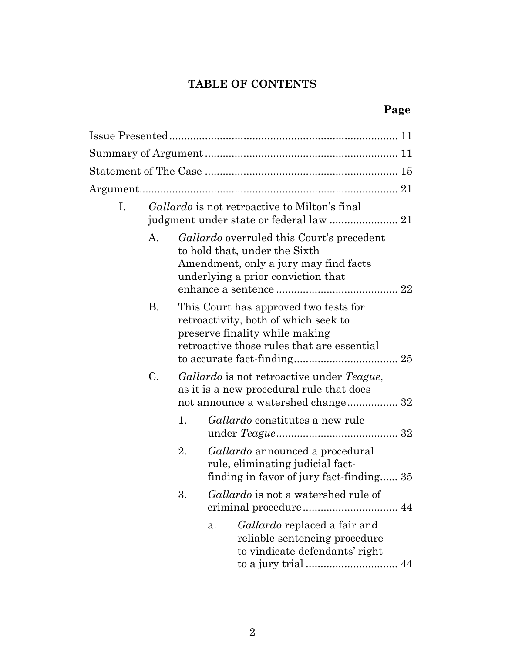## **TABLE OF CONTENTS**

# **Page**

| $\mathbf{I}$ . |    |    | <i>Gallardo</i> is not retroactive to Milton's final                                                                                                             |
|----------------|----|----|------------------------------------------------------------------------------------------------------------------------------------------------------------------|
|                | А. |    | <i>Gallardo</i> overruled this Court's precedent<br>to hold that, under the Sixth<br>Amendment, only a jury may find facts<br>underlying a prior conviction that |
|                | В. |    | This Court has approved two tests for<br>retroactivity, both of which seek to<br>preserve finality while making<br>retroactive those rules that are essential    |
|                | C. |    | Gallardo is not retroactive under Teague,<br>as it is a new procedural rule that does                                                                            |
|                |    | 1. | <i>Gallardo</i> constitutes a new rule                                                                                                                           |
|                |    | 2. | Gallardo announced a procedural<br>rule, eliminating judicial fact-<br>finding in favor of jury fact-finding 35                                                  |
|                |    | 3. | <i>Gallardo</i> is not a watershed rule of                                                                                                                       |
|                |    |    | Gallardo replaced a fair and<br>a.<br>reliable sentencing procedure<br>to vindicate defendants' right                                                            |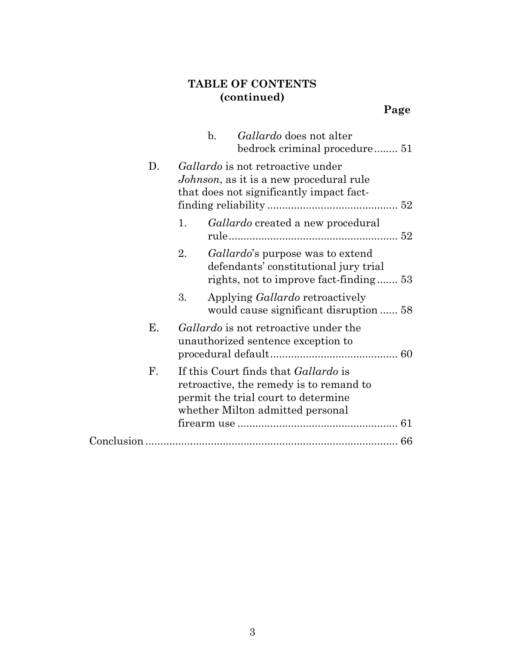## **TABLE OF CONTENTS (continued)**

|    | $\mathbf{b}$ .<br><i>Gallardo</i> does not alter<br>bedrock criminal procedure 51                                                                                 |  |
|----|-------------------------------------------------------------------------------------------------------------------------------------------------------------------|--|
| D. | Gallardo is not retroactive under<br><i>Johnson</i> , as it is a new procedural rule<br>that does not significantly impact fact-                                  |  |
|    | 1.<br><i>Gallardo</i> created a new procedural                                                                                                                    |  |
|    | 2.<br><i>Gallardo's</i> purpose was to extend<br>defendants' constitutional jury trial<br>rights, not to improve fact-finding 53                                  |  |
|    | 3.<br>Applying <i>Gallardo</i> retroactively<br>would cause significant disruption  58                                                                            |  |
| Ε. | <i>Gallardo</i> is not retroactive under the<br>unauthorized sentence exception to                                                                                |  |
| F. | If this Court finds that <i>Gallardo</i> is<br>retroactive, the remedy is to remand to<br>permit the trial court to determine<br>whether Milton admitted personal |  |
|    | 66                                                                                                                                                                |  |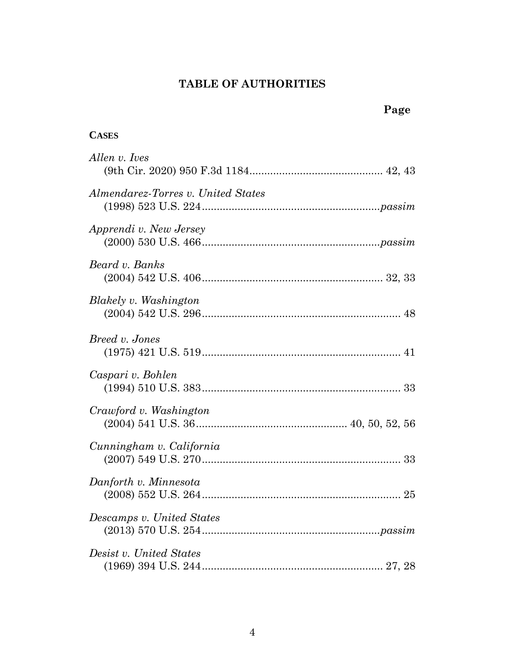## **TABLE OF AUTHORITIES**

### **CASES**

| Allen v. Ives                      |
|------------------------------------|
| Almendarez-Torres v. United States |
| Apprendi v. New Jersey             |
| Beard v. Banks                     |
| Blakely v. Washington              |
| Breed v. Jones                     |
| Caspari v. Bohlen                  |
| Crawford v. Washington             |
| Cunningham v. California           |
| Danforth v. Minnesota              |
| Descamps v. United States          |
| Desist v. United States            |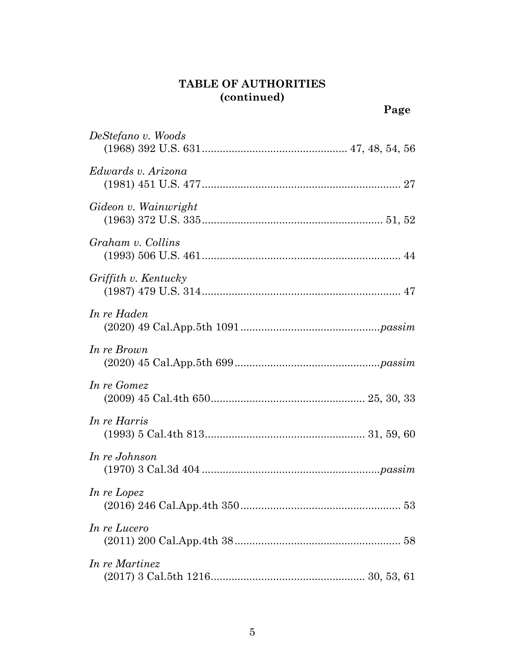|                      | Page |
|----------------------|------|
| DeStefano v. Woods   |      |
| Edwards v. Arizona   |      |
| Gideon v. Wainwright |      |
| Graham v. Collins    |      |
| Griffith v. Kentucky |      |
| In re Haden          |      |
| In re Brown          |      |
| In re Gomez          |      |
| In re Harris         |      |
| In re Johnson        |      |
| In re Lopez          |      |
| In re Lucero         |      |
| In re Martinez       |      |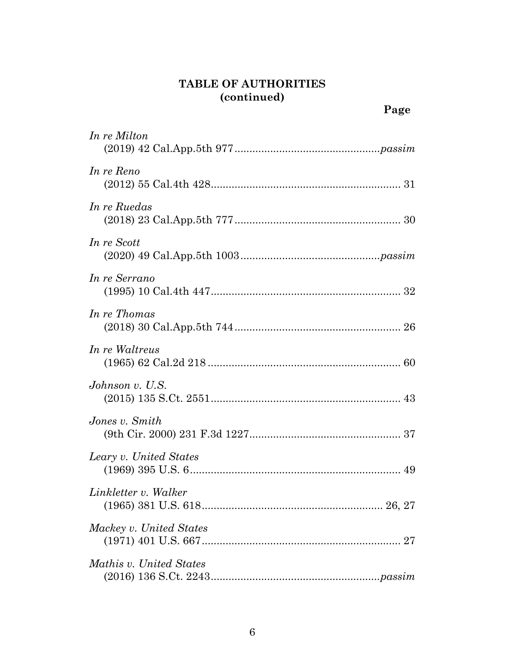| In re Milton            |
|-------------------------|
| In re Reno              |
| In re Ruedas            |
| In re Scott             |
| In re Serrano           |
| In re Thomas            |
| In re Waltreus          |
| Johnson v. U.S.         |
| Jones v. Smith          |
| Leary v. United States  |
| Linkletter v. Walker    |
| Mackey v. United States |
| Mathis v. United States |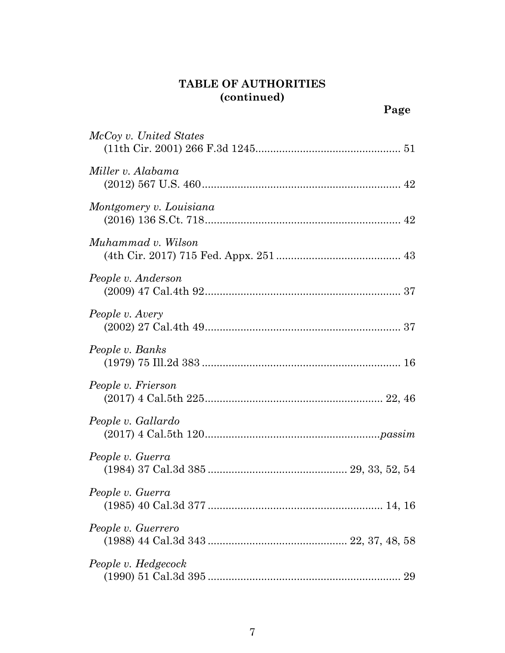| McCoy v. United States  |
|-------------------------|
| Miller v. Alabama       |
| Montgomery v. Louisiana |
| Muhammad v. Wilson      |
| People v. Anderson      |
| People v. Avery         |
| People v. Banks         |
| People v. Frierson      |
| People v. Gallardo      |
| People v. Guerra        |
| People v. Guerra        |
| People v. Guerrero      |
| People v. Hedgecock     |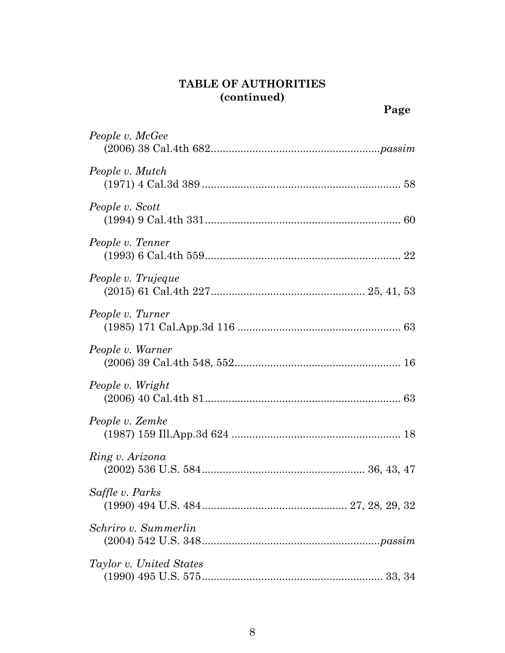| People v. McGee         |
|-------------------------|
| People v. Mutch         |
| People v. Scott         |
| People v. Tenner        |
| People v. Trujeque      |
| People v. Turner        |
| People v. Warner        |
| People v. Wright        |
| People v. Zemke         |
| Ring v. Arizona         |
| Saffle v. Parks         |
| Schriro v. Summerlin    |
| Taylor v. United States |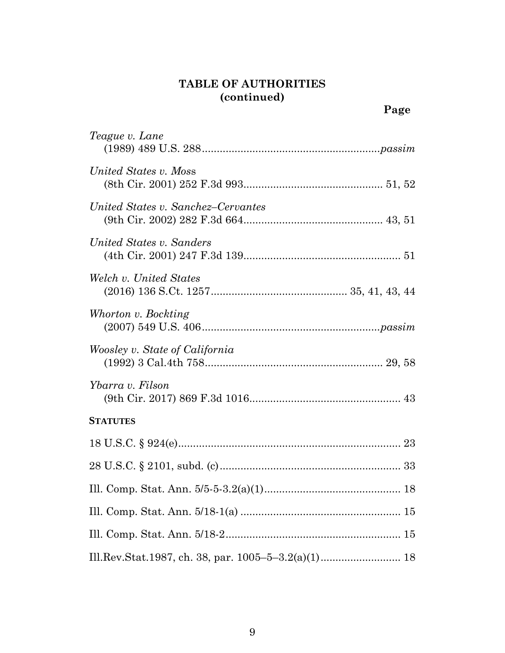| Teague v. Lane                        |
|---------------------------------------|
| United States v. Moss                 |
| United States v. Sanchez–Cervantes    |
| United States v. Sanders              |
| Welch v. United States                |
| Whorton v. Bockting                   |
| <i>Woosley v. State of California</i> |
| Ybarra v. Filson                      |
| <b>STATUTES</b>                       |
|                                       |
|                                       |
|                                       |
|                                       |
|                                       |
|                                       |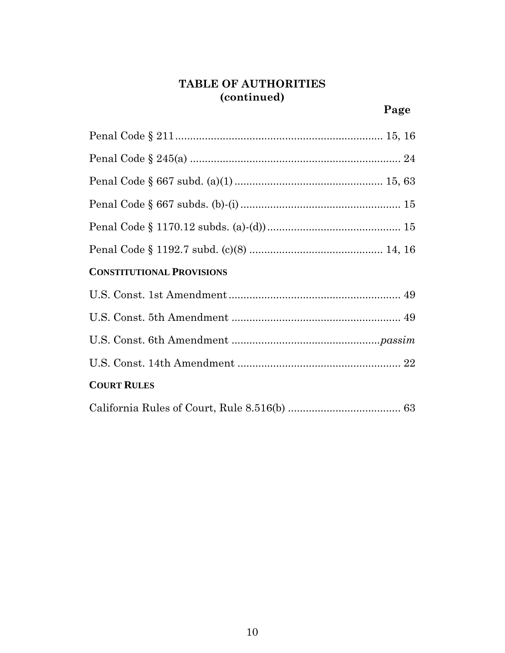| <b>CONSTITUTIONAL PROVISIONS</b> |
|----------------------------------|
|                                  |
|                                  |
|                                  |
|                                  |
| <b>COURT RULES</b>               |
|                                  |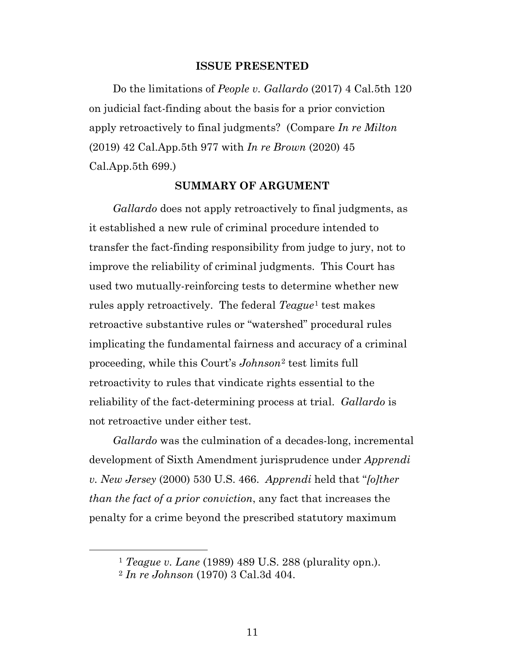#### **ISSUE PRESENTED**

Do the limitations of *People v. Gallardo* (2017) 4 Cal.5th 120 on judicial fact-finding about the basis for a prior conviction apply retroactively to final judgments? (Compare *In re Milton* (2019) 42 Cal.App.5th 977 with *In re Brown* (2020) 45 Cal.App.5th 699.)

#### **SUMMARY OF ARGUMENT**

*Gallardo* does not apply retroactively to final judgments, as it established a new rule of criminal procedure intended to transfer the fact-finding responsibility from judge to jury, not to improve the reliability of criminal judgments. This Court has used two mutually-reinforcing tests to determine whether new rules apply retroactively. The federal *Teague*[1](#page-10-0) test makes retroactive substantive rules or "watershed" procedural rules implicating the fundamental fairness and accuracy of a criminal proceeding, while this Court's *Johnson*[2](#page-10-1) test limits full retroactivity to rules that vindicate rights essential to the reliability of the fact-determining process at trial. *Gallardo* is not retroactive under either test.

*Gallardo* was the culmination of a decades-long, incremental development of Sixth Amendment jurisprudence under *Apprendi v. New Jersey* (2000) 530 U.S. 466. *Apprendi* held that "*[o]ther than the fact of a prior conviction*, any fact that increases the penalty for a crime beyond the prescribed statutory maximum

<span id="page-10-0"></span> <sup>1</sup> *Teague v. Lane* (1989) 489 U.S. 288 (plurality opn.).

<span id="page-10-1"></span><sup>2</sup> *In re Johnson* (1970) 3 Cal.3d 404.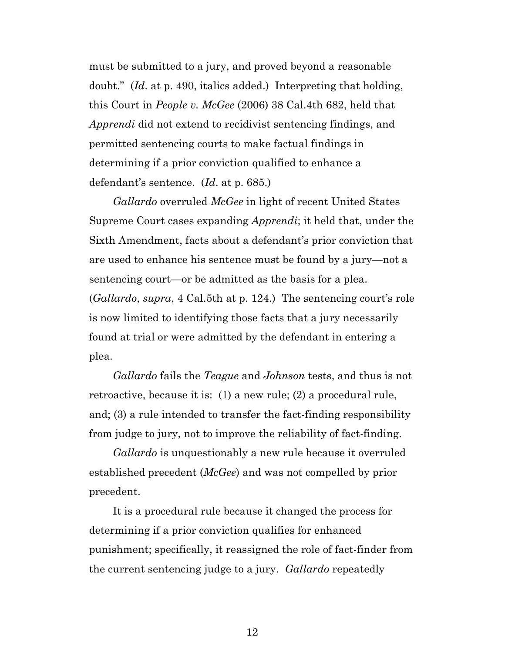must be submitted to a jury, and proved beyond a reasonable doubt." (*Id*. at p. 490, italics added.) Interpreting that holding, this Court in *People v. McGee* (2006) 38 Cal.4th 682, held that *Apprendi* did not extend to recidivist sentencing findings, and permitted sentencing courts to make factual findings in determining if a prior conviction qualified to enhance a defendant's sentence. (*Id*. at p. 685.)

*Gallardo* overruled *McGee* in light of recent United States Supreme Court cases expanding *Apprendi*; it held that, under the Sixth Amendment, facts about a defendant's prior conviction that are used to enhance his sentence must be found by a jury—not a sentencing court—or be admitted as the basis for a plea. (*Gallardo*, *supra*, 4 Cal.5th at p. 124.) The sentencing court's role is now limited to identifying those facts that a jury necessarily found at trial or were admitted by the defendant in entering a plea.

*Gallardo* fails the *Teague* and *Johnson* tests, and thus is not retroactive, because it is: (1) a new rule; (2) a procedural rule, and; (3) a rule intended to transfer the fact-finding responsibility from judge to jury, not to improve the reliability of fact-finding.

*Gallardo* is unquestionably a new rule because it overruled established precedent (*McGee*) and was not compelled by prior precedent.

It is a procedural rule because it changed the process for determining if a prior conviction qualifies for enhanced punishment; specifically, it reassigned the role of fact-finder from the current sentencing judge to a jury. *Gallardo* repeatedly

12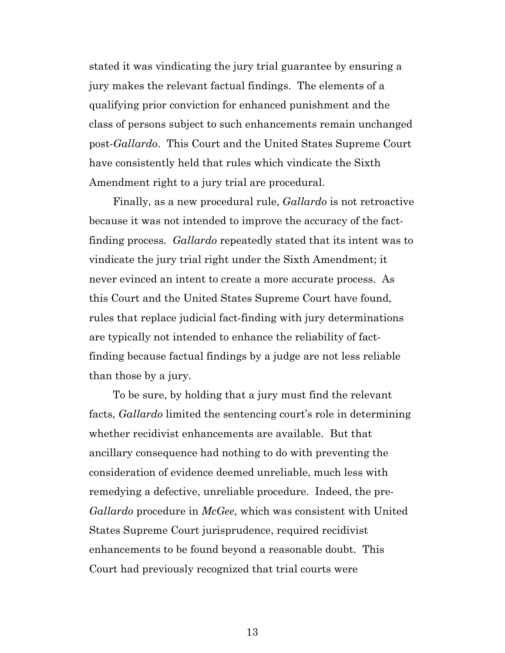stated it was vindicating the jury trial guarantee by ensuring a jury makes the relevant factual findings. The elements of a qualifying prior conviction for enhanced punishment and the class of persons subject to such enhancements remain unchanged post-*Gallardo*. This Court and the United States Supreme Court have consistently held that rules which vindicate the Sixth Amendment right to a jury trial are procedural.

Finally, as a new procedural rule, *Gallardo* is not retroactive because it was not intended to improve the accuracy of the factfinding process. *Gallardo* repeatedly stated that its intent was to vindicate the jury trial right under the Sixth Amendment; it never evinced an intent to create a more accurate process. As this Court and the United States Supreme Court have found, rules that replace judicial fact-finding with jury determinations are typically not intended to enhance the reliability of factfinding because factual findings by a judge are not less reliable than those by a jury.

To be sure, by holding that a jury must find the relevant facts, *Gallardo* limited the sentencing court's role in determining whether recidivist enhancements are available. But that ancillary consequence had nothing to do with preventing the consideration of evidence deemed unreliable, much less with remedying a defective, unreliable procedure. Indeed, the pre-*Gallardo* procedure in *McGee*, which was consistent with United States Supreme Court jurisprudence, required recidivist enhancements to be found beyond a reasonable doubt. This Court had previously recognized that trial courts were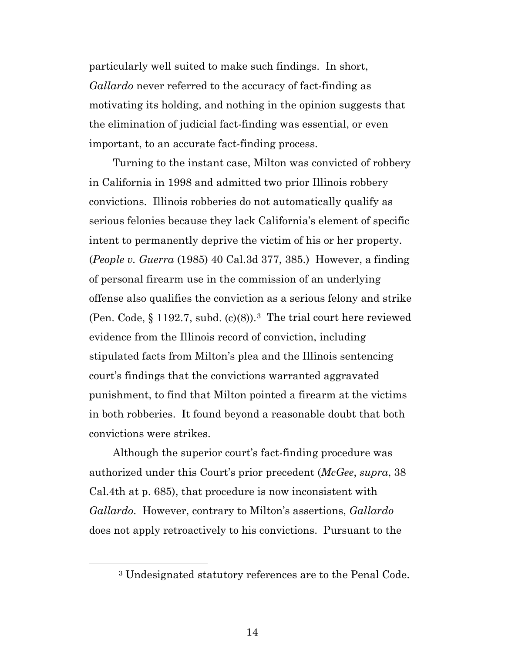particularly well suited to make such findings. In short, *Gallardo* never referred to the accuracy of fact-finding as motivating its holding, and nothing in the opinion suggests that the elimination of judicial fact-finding was essential, or even important, to an accurate fact-finding process.

Turning to the instant case, Milton was convicted of robbery in California in 1998 and admitted two prior Illinois robbery convictions. Illinois robberies do not automatically qualify as serious felonies because they lack California's element of specific intent to permanently deprive the victim of his or her property. (*People v. Guerra* (1985) 40 Cal.3d 377, 385.) However, a finding of personal firearm use in the commission of an underlying offense also qualifies the conviction as a serious felony and strike (Pen. Code, § 1192.7, subd. (c)(8)).[3](#page-13-0) The trial court here reviewed evidence from the Illinois record of conviction, including stipulated facts from Milton's plea and the Illinois sentencing court's findings that the convictions warranted aggravated punishment, to find that Milton pointed a firearm at the victims in both robberies. It found beyond a reasonable doubt that both convictions were strikes.

Although the superior court's fact-finding procedure was authorized under this Court's prior precedent (*McGee*, *supra*, 38 Cal.4th at p. 685), that procedure is now inconsistent with *Gallardo*. However, contrary to Milton's assertions, *Gallardo* does not apply retroactively to his convictions. Pursuant to the

<span id="page-13-0"></span> <sup>3</sup> Undesignated statutory references are to the Penal Code.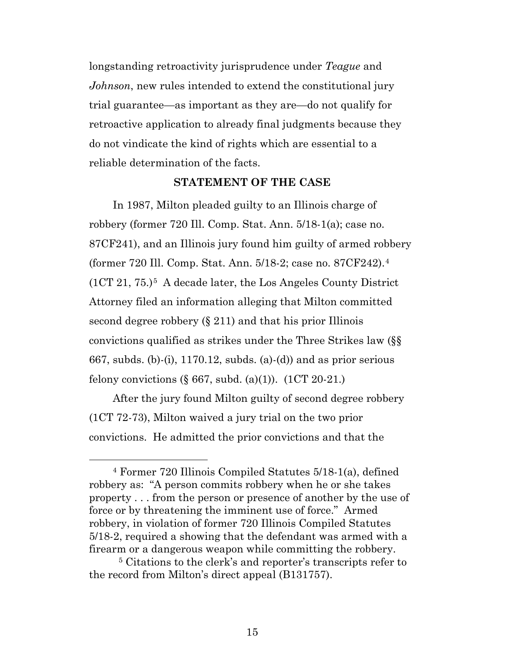longstanding retroactivity jurisprudence under *Teague* and *Johnson*, new rules intended to extend the constitutional jury trial guarantee—as important as they are—do not qualify for retroactive application to already final judgments because they do not vindicate the kind of rights which are essential to a reliable determination of the facts.

#### **STATEMENT OF THE CASE**

In 1987, Milton pleaded guilty to an Illinois charge of robbery (former 720 Ill. Comp. Stat. Ann. 5/18-1(a); case no. 87CF241), and an Illinois jury found him guilty of armed robbery (former 720 Ill. Comp. Stat. Ann. 5/18-2; case no. 87CF242).[4](#page-14-0)  $(1CT 21, 75.)$ <sup>5</sup> A decade later, the Los Angeles County District Attorney filed an information alleging that Milton committed second degree robbery (§ 211) and that his prior Illinois convictions qualified as strikes under the Three Strikes law (§§ 667, subds. (b)-(i), 1170.12, subds. (a)-(d)) and as prior serious felony convictions  $(\S 667, \text{subd.} (a)(1))$ .  $(1CT 20-21)$ .

After the jury found Milton guilty of second degree robbery (1CT 72-73), Milton waived a jury trial on the two prior convictions. He admitted the prior convictions and that the

<span id="page-14-0"></span> <sup>4</sup> Former 720 Illinois Compiled Statutes 5/18-1(a), defined robbery as: "A person commits robbery when he or she takes property . . . from the person or presence of another by the use of force or by threatening the imminent use of force." Armed robbery, in violation of former 720 Illinois Compiled Statutes 5/18-2, required a showing that the defendant was armed with a firearm or a dangerous weapon while committing the robbery.

<span id="page-14-1"></span><sup>5</sup> Citations to the clerk's and reporter's transcripts refer to the record from Milton's direct appeal (B131757).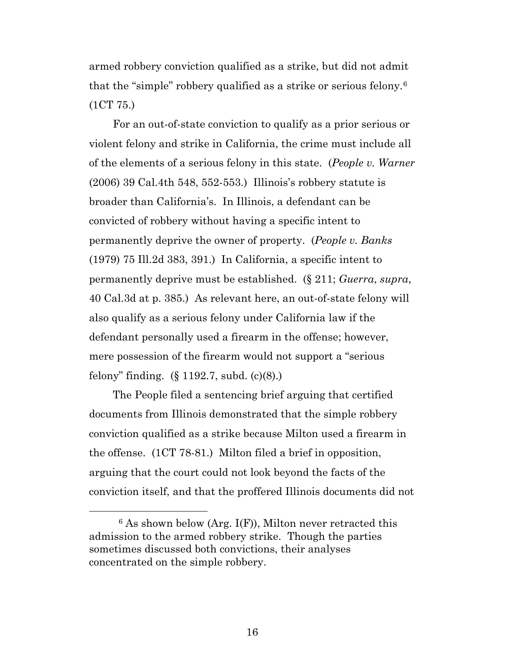armed robbery conviction qualified as a strike, but did not admit that the "simple" robbery qualified as a strike or serious felony.[6](#page-15-0)  (1CT 75.)

For an out-of-state conviction to qualify as a prior serious or violent felony and strike in California, the crime must include all of the elements of a serious felony in this state. (*People v. Warner*  (2006) 39 Cal.4th 548, 552-553.) Illinois's robbery statute is broader than California's. In Illinois, a defendant can be convicted of robbery without having a specific intent to permanently deprive the owner of property. (*People v. Banks*  (1979) 75 Ill.2d 383, 391.) In California, a specific intent to permanently deprive must be established. (§ 211; *Guerra*, *supra*, 40 Cal.3d at p. 385.) As relevant here, an out-of-state felony will also qualify as a serious felony under California law if the defendant personally used a firearm in the offense; however, mere possession of the firearm would not support a "serious felony" finding. (§ 1192.7, subd. (c)(8).)

The People filed a sentencing brief arguing that certified documents from Illinois demonstrated that the simple robbery conviction qualified as a strike because Milton used a firearm in the offense. (1CT 78-81.) Milton filed a brief in opposition, arguing that the court could not look beyond the facts of the conviction itself, and that the proffered Illinois documents did not

<span id="page-15-0"></span> $6$  As shown below (Arg. I(F)), Milton never retracted this admission to the armed robbery strike. Though the parties sometimes discussed both convictions, their analyses concentrated on the simple robbery.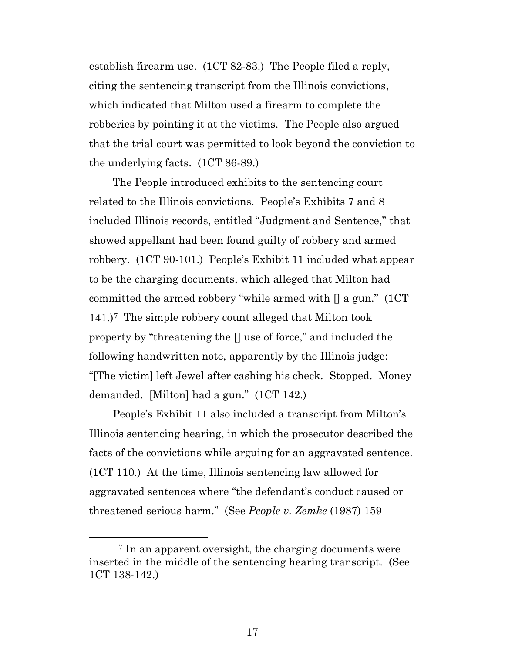establish firearm use. (1CT 82-83.) The People filed a reply, citing the sentencing transcript from the Illinois convictions, which indicated that Milton used a firearm to complete the robberies by pointing it at the victims. The People also argued that the trial court was permitted to look beyond the conviction to the underlying facts. (1CT 86-89.)

The People introduced exhibits to the sentencing court related to the Illinois convictions. People's Exhibits 7 and 8 included Illinois records, entitled "Judgment and Sentence," that showed appellant had been found guilty of robbery and armed robbery. (1CT 90-101.) People's Exhibit 11 included what appear to be the charging documents, which alleged that Milton had committed the armed robbery "while armed with [] a gun." (1CT 141.)[7](#page-16-0) The simple robbery count alleged that Milton took property by "threatening the [] use of force," and included the following handwritten note, apparently by the Illinois judge: "[The victim] left Jewel after cashing his check. Stopped. Money demanded. [Milton] had a gun." (1CT 142.)

People's Exhibit 11 also included a transcript from Milton's Illinois sentencing hearing, in which the prosecutor described the facts of the convictions while arguing for an aggravated sentence. (1CT 110.) At the time, Illinois sentencing law allowed for aggravated sentences where "the defendant's conduct caused or threatened serious harm." (See *People v. Zemke* (1987) 159

<span id="page-16-0"></span> <sup>7</sup> In an apparent oversight, the charging documents were inserted in the middle of the sentencing hearing transcript. (See 1CT 138-142.)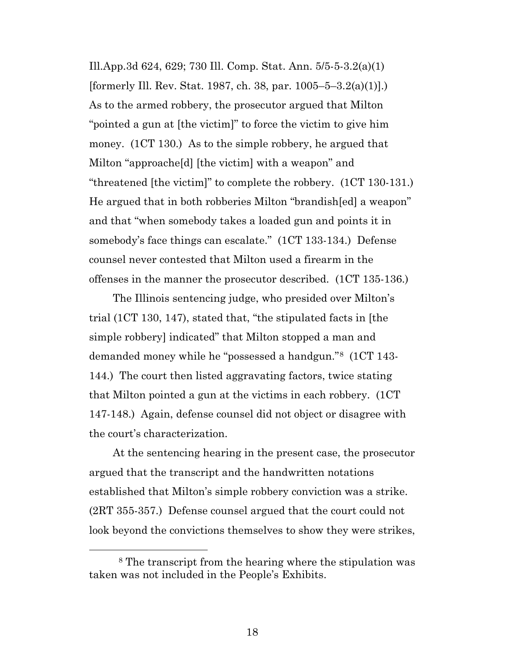Ill.App.3d 624, 629; 730 Ill. Comp. Stat. Ann. 5/5-5-3.2(a)(1) [formerly Ill. Rev. Stat. 1987, ch. 38, par. 1005–5–3.2(a)(1)].) As to the armed robbery, the prosecutor argued that Milton "pointed a gun at [the victim]" to force the victim to give him money. (1CT 130.) As to the simple robbery, he argued that Milton "approache[d] [the victim] with a weapon" and "threatened [the victim]" to complete the robbery. (1CT 130-131.) He argued that in both robberies Milton "brandish[ed] a weapon" and that "when somebody takes a loaded gun and points it in somebody's face things can escalate." (1CT 133-134.) Defense counsel never contested that Milton used a firearm in the offenses in the manner the prosecutor described. (1CT 135-136.)

The Illinois sentencing judge, who presided over Milton's trial (1CT 130, 147), stated that, "the stipulated facts in [the simple robbery] indicated" that Milton stopped a man and demanded money while he "possessed a handgun."[8](#page-17-0) (1CT 143- 144.) The court then listed aggravating factors, twice stating that Milton pointed a gun at the victims in each robbery. (1CT 147-148.) Again, defense counsel did not object or disagree with the court's characterization.

At the sentencing hearing in the present case, the prosecutor argued that the transcript and the handwritten notations established that Milton's simple robbery conviction was a strike. (2RT 355-357.) Defense counsel argued that the court could not look beyond the convictions themselves to show they were strikes,

<span id="page-17-0"></span> <sup>8</sup> The transcript from the hearing where the stipulation was taken was not included in the People's Exhibits.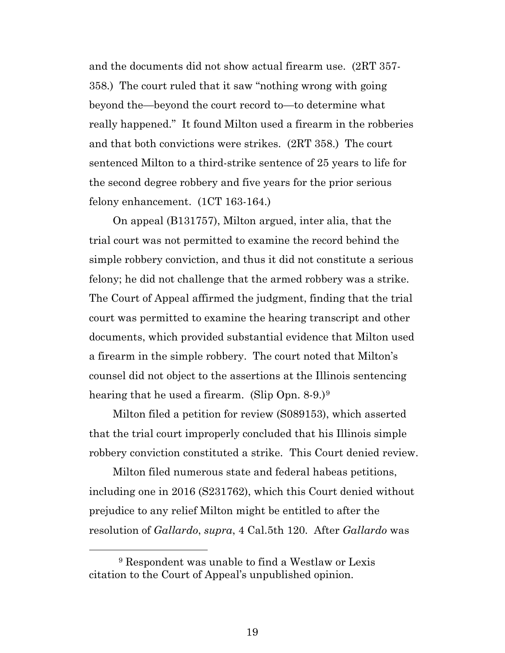and the documents did not show actual firearm use. (2RT 357- 358.) The court ruled that it saw "nothing wrong with going beyond the—beyond the court record to—to determine what really happened." It found Milton used a firearm in the robberies and that both convictions were strikes. (2RT 358.) The court sentenced Milton to a third-strike sentence of 25 years to life for the second degree robbery and five years for the prior serious felony enhancement. (1CT 163-164.)

On appeal (B131757), Milton argued, inter alia, that the trial court was not permitted to examine the record behind the simple robbery conviction, and thus it did not constitute a serious felony; he did not challenge that the armed robbery was a strike. The Court of Appeal affirmed the judgment, finding that the trial court was permitted to examine the hearing transcript and other documents, which provided substantial evidence that Milton used a firearm in the simple robbery. The court noted that Milton's counsel did not object to the assertions at the Illinois sentencing hearing that he used a firearm. (Slip Opn. 8-[9](#page-18-0).)<sup>9</sup>

Milton filed a petition for review (S089153), which asserted that the trial court improperly concluded that his Illinois simple robbery conviction constituted a strike. This Court denied review.

Milton filed numerous state and federal habeas petitions, including one in 2016 (S231762), which this Court denied without prejudice to any relief Milton might be entitled to after the resolution of *Gallardo*, *supra*, 4 Cal.5th 120. After *Gallardo* was

<span id="page-18-0"></span> <sup>9</sup> Respondent was unable to find a Westlaw or Lexis citation to the Court of Appeal's unpublished opinion.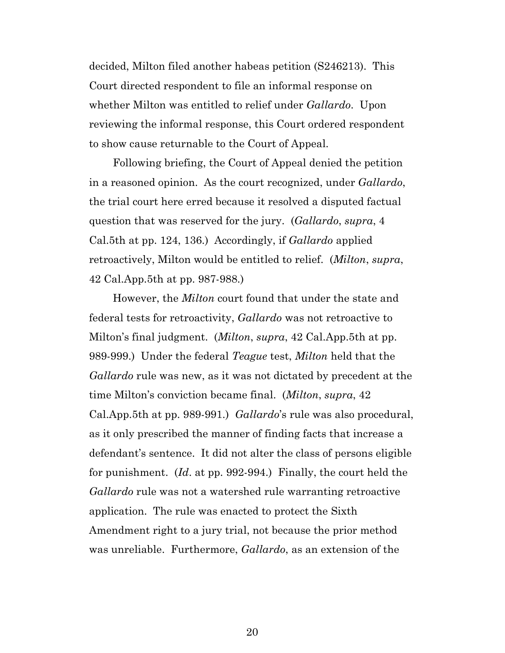decided, Milton filed another habeas petition (S246213). This Court directed respondent to file an informal response on whether Milton was entitled to relief under *Gallardo*. Upon reviewing the informal response, this Court ordered respondent to show cause returnable to the Court of Appeal.

Following briefing, the Court of Appeal denied the petition in a reasoned opinion. As the court recognized, under *Gallardo*, the trial court here erred because it resolved a disputed factual question that was reserved for the jury. (*Gallardo*, *supra*, 4 Cal.5th at pp. 124, 136.) Accordingly, if *Gallardo* applied retroactively, Milton would be entitled to relief. (*Milton*, *supra*, 42 Cal.App.5th at pp. 987-988.)

However, the *Milton* court found that under the state and federal tests for retroactivity, *Gallardo* was not retroactive to Milton's final judgment. (*Milton*, *supra*, 42 Cal.App.5th at pp. 989-999.) Under the federal *Teague* test, *Milton* held that the *Gallardo* rule was new, as it was not dictated by precedent at the time Milton's conviction became final. (*Milton*, *supra*, 42 Cal.App.5th at pp. 989-991.) *Gallardo*'s rule was also procedural, as it only prescribed the manner of finding facts that increase a defendant's sentence. It did not alter the class of persons eligible for punishment. (*Id*. at pp. 992-994.) Finally, the court held the *Gallardo* rule was not a watershed rule warranting retroactive application. The rule was enacted to protect the Sixth Amendment right to a jury trial, not because the prior method was unreliable. Furthermore, *Gallardo*, as an extension of the

20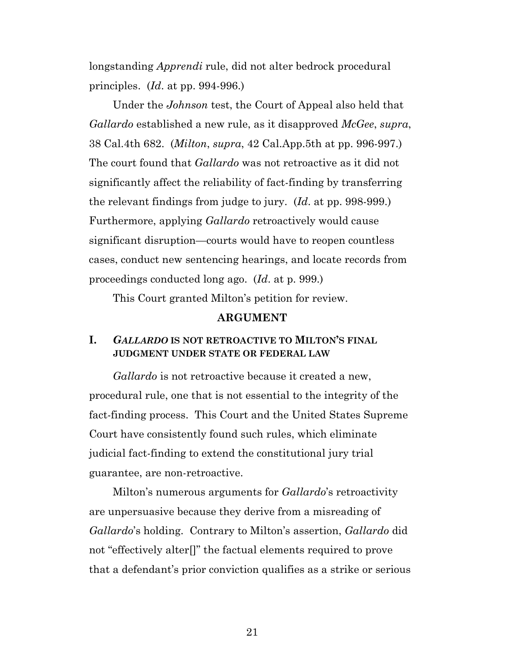longstanding *Apprendi* rule, did not alter bedrock procedural principles. (*Id*. at pp. 994-996.)

Under the *Johnson* test, the Court of Appeal also held that *Gallardo* established a new rule, as it disapproved *McGee*, *supra*, 38 Cal.4th 682. (*Milton*, *supra*, 42 Cal.App.5th at pp. 996-997.) The court found that *Gallardo* was not retroactive as it did not significantly affect the reliability of fact-finding by transferring the relevant findings from judge to jury. (*Id*. at pp. 998-999.) Furthermore, applying *Gallardo* retroactively would cause significant disruption—courts would have to reopen countless cases, conduct new sentencing hearings, and locate records from proceedings conducted long ago. (*Id*. at p. 999.)

This Court granted Milton's petition for review.

#### **ARGUMENT**

#### **I.** *GALLARDO* **IS NOT RETROACTIVE TO MILTON'S FINAL JUDGMENT UNDER STATE OR FEDERAL LAW**

*Gallardo* is not retroactive because it created a new, procedural rule, one that is not essential to the integrity of the fact-finding process. This Court and the United States Supreme Court have consistently found such rules, which eliminate judicial fact-finding to extend the constitutional jury trial guarantee, are non-retroactive.

Milton's numerous arguments for *Gallardo*'s retroactivity are unpersuasive because they derive from a misreading of *Gallardo*'s holding. Contrary to Milton's assertion, *Gallardo* did not "effectively alter[]" the factual elements required to prove that a defendant's prior conviction qualifies as a strike or serious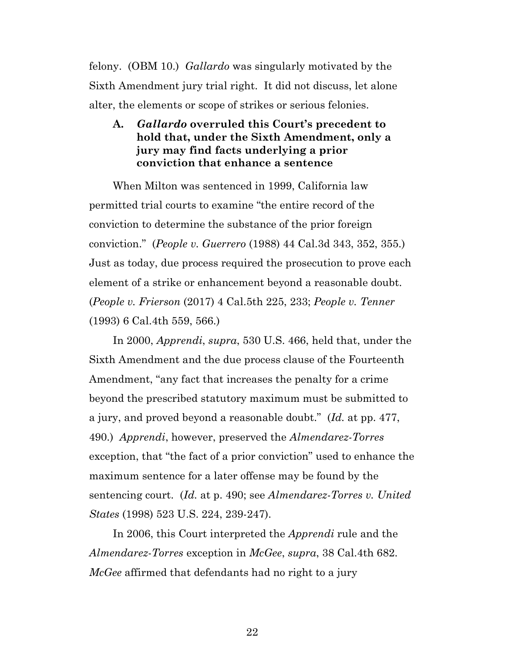felony. (OBM 10.) *Gallardo* was singularly motivated by the Sixth Amendment jury trial right. It did not discuss, let alone alter, the elements or scope of strikes or serious felonies.

### **A.** *Gallardo* **overruled this Court's precedent to hold that, under the Sixth Amendment, only a jury may find facts underlying a prior conviction that enhance a sentence**

When Milton was sentenced in 1999, California law permitted trial courts to examine "the entire record of the conviction to determine the substance of the prior foreign conviction." (*People v. Guerrero* (1988) 44 Cal.3d 343, 352, 355.) Just as today, due process required the prosecution to prove each element of a strike or enhancement beyond a reasonable doubt. (*People v. Frierson* (2017) 4 Cal.5th 225, 233; *People v. Tenner* (1993) 6 Cal.4th 559, 566.)

In 2000, *Apprendi*, *supra*, 530 U.S. 466, held that, under the Sixth Amendment and the due process clause of the Fourteenth Amendment, "any fact that increases the penalty for a crime beyond the prescribed statutory maximum must be submitted to a jury, and proved beyond a reasonable doubt." (*Id.* at pp. 477, 490.) *Apprendi*, however, preserved the *Almendarez-Torres* exception, that "the fact of a prior conviction" used to enhance the maximum sentence for a later offense may be found by the sentencing court. (*Id.* at p. 490; see *Almendarez-Torres v. United States* (1998) 523 U.S. 224, 239-247).

In 2006, this Court interpreted the *Apprendi* rule and the *Almendarez*-*Torres* exception in *McGee*, *supra*, 38 Cal.4th 682. *McGee* affirmed that defendants had no right to a jury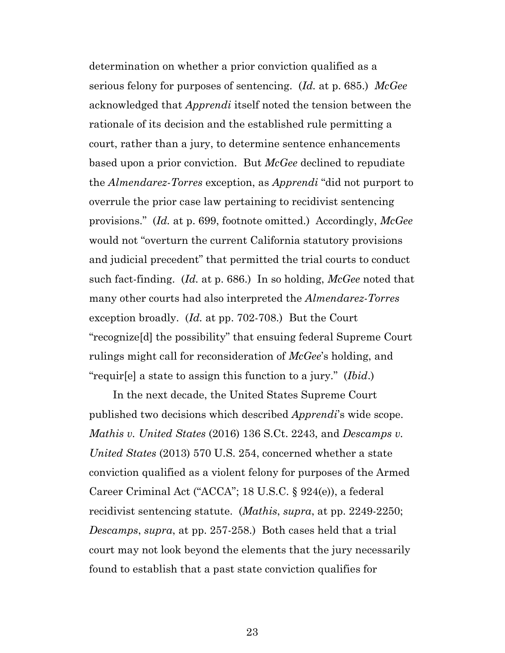determination on whether a prior conviction qualified as a serious felony for purposes of sentencing. (*Id.* at p. 685.) *McGee* acknowledged that *Apprendi* itself noted the tension between the rationale of its decision and the established rule permitting a court, rather than a jury, to determine sentence enhancements based upon a prior conviction. But *McGee* declined to repudiate the *Almendarez-Torres* exception, as *Apprendi* "did not purport to overrule the prior case law pertaining to recidivist sentencing provisions." (*Id.* at p. 699, footnote omitted.) Accordingly, *McGee* would not "overturn the current California statutory provisions and judicial precedent" that permitted the trial courts to conduct such fact-finding. (*Id.* at p. 686.) In so holding, *McGee* noted that many other courts had also interpreted the *Almendarez-Torres* exception broadly. (*Id.* at pp. 702-708.) But the Court "recognize[d] the possibility" that ensuing federal Supreme Court rulings might call for reconsideration of *McGee*'s holding, and "requir[e] a state to assign this function to a jury." (*Ibid*.)

In the next decade, the United States Supreme Court published two decisions which described *Apprendi*'s wide scope. *Mathis v. United States* (2016) 136 S.Ct. 2243, and *Descamps v. United States* (2013) 570 U.S. 254, concerned whether a state conviction qualified as a violent felony for purposes of the Armed Career Criminal Act ("ACCA"; 18 U.S.C. § 924(e)), a federal recidivist sentencing statute. (*Mathis*, *supra*, at pp. 2249-2250; *Descamps*, *supra*, at pp. 257-258.) Both cases held that a trial court may not look beyond the elements that the jury necessarily found to establish that a past state conviction qualifies for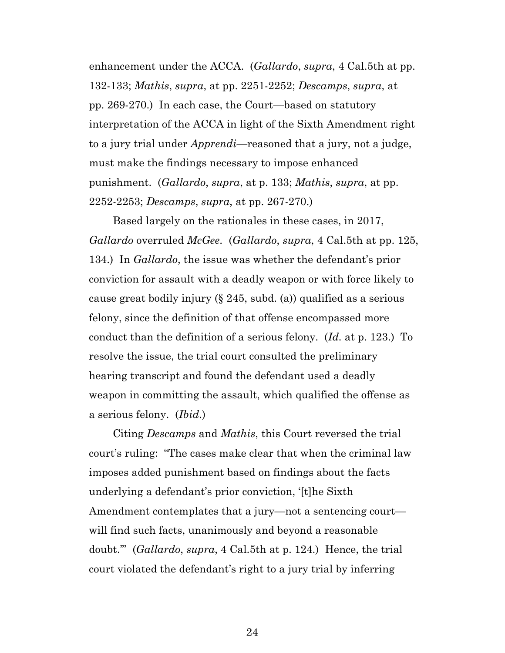enhancement under the ACCA. (*Gallardo*, *supra*, 4 Cal.5th at pp. 132-133; *Mathis*, *supra*, at pp. 2251-2252; *Descamps*, *supra*, at pp. 269-270.) In each case, the Court—based on statutory interpretation of the ACCA in light of the Sixth Amendment right to a jury trial under *Apprendi*—reasoned that a jury, not a judge, must make the findings necessary to impose enhanced punishment. (*Gallardo*, *supra*, at p. 133; *Mathis*, *supra*, at pp. 2252-2253; *Descamps*, *supra*, at pp. 267-270.)

Based largely on the rationales in these cases, in 2017, *Gallardo* overruled *McGee*. (*Gallardo*, *supra*, 4 Cal.5th at pp. 125, 134.) In *Gallardo*, the issue was whether the defendant's prior conviction for assault with a deadly weapon or with force likely to cause great bodily injury (§ 245, subd. (a)) qualified as a serious felony, since the definition of that offense encompassed more conduct than the definition of a serious felony. (*Id.* at p. 123.) To resolve the issue, the trial court consulted the preliminary hearing transcript and found the defendant used a deadly weapon in committing the assault, which qualified the offense as a serious felony. (*Ibid*.)

Citing *Descamps* and *Mathis*, this Court reversed the trial court's ruling: "The cases make clear that when the criminal law imposes added punishment based on findings about the facts underlying a defendant's prior conviction, '[t]he Sixth Amendment contemplates that a jury—not a sentencing court will find such facts, unanimously and beyond a reasonable doubt.'" (*Gallardo*, *supra*, 4 Cal.5th at p. 124.) Hence, the trial court violated the defendant's right to a jury trial by inferring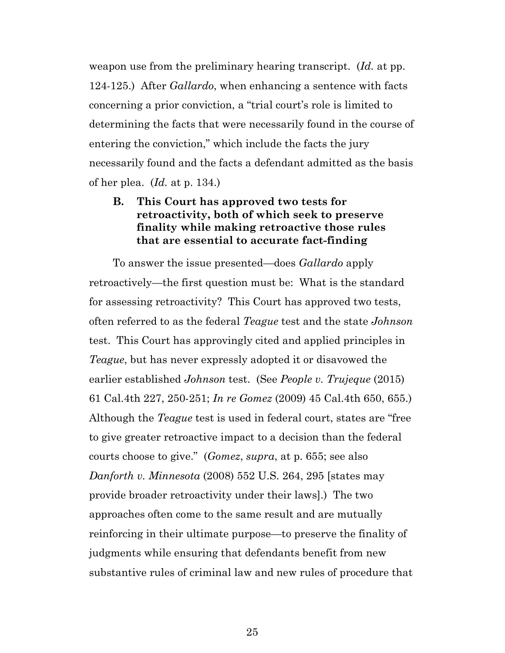weapon use from the preliminary hearing transcript. (*Id.* at pp. 124-125.) After *Gallardo*, when enhancing a sentence with facts concerning a prior conviction, a "trial court's role is limited to determining the facts that were necessarily found in the course of entering the conviction," which include the facts the jury necessarily found and the facts a defendant admitted as the basis of her plea. (*Id.* at p. 134.)

### **B. This Court has approved two tests for retroactivity, both of which seek to preserve finality while making retroactive those rules that are essential to accurate fact-finding**

To answer the issue presented—does *Gallardo* apply retroactively—the first question must be: What is the standard for assessing retroactivity? This Court has approved two tests, often referred to as the federal *Teague* test and the state *Johnson* test. This Court has approvingly cited and applied principles in *Teague*, but has never expressly adopted it or disavowed the earlier established *Johnson* test. (See *People v. Trujeque* (2015) 61 Cal.4th 227, 250-251; *In re Gomez* (2009) 45 Cal.4th 650, 655.) Although the *Teague* test is used in federal court, states are "free to give greater retroactive impact to a decision than the federal courts choose to give." (*Gomez*, *supra*, at p. 655; see also *Danforth v. Minnesota* (2008) 552 U.S. 264, 295 [states may provide broader retroactivity under their laws].) The two approaches often come to the same result and are mutually reinforcing in their ultimate purpose—to preserve the finality of judgments while ensuring that defendants benefit from new substantive rules of criminal law and new rules of procedure that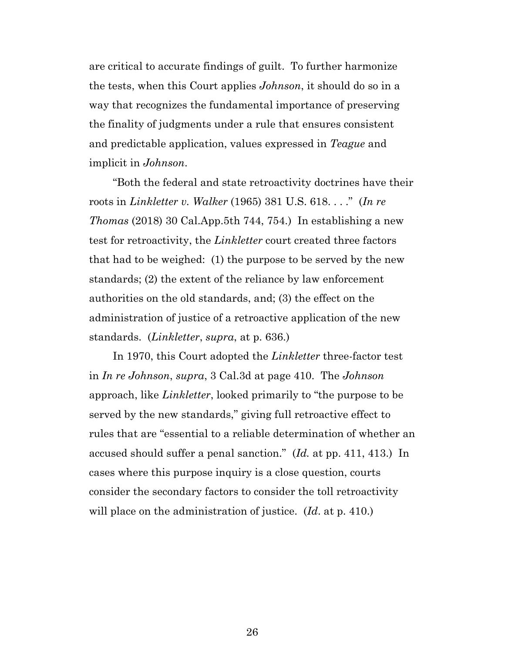are critical to accurate findings of guilt. To further harmonize the tests, when this Court applies *Johnson*, it should do so in a way that recognizes the fundamental importance of preserving the finality of judgments under a rule that ensures consistent and predictable application, values expressed in *Teague* and implicit in *Johnson*.

"Both the federal and state retroactivity doctrines have their roots in *Linkletter v. Walker* (1965) 381 U.S. 618. . . ." (*In re Thomas* (2018) 30 Cal.App.5th 744, 754.) In establishing a new test for retroactivity, the *Linkletter* court created three factors that had to be weighed: (1) the purpose to be served by the new standards; (2) the extent of the reliance by law enforcement authorities on the old standards, and; (3) the effect on the administration of justice of a retroactive application of the new standards. (*Linkletter*, *supra*, at p. 636.)

In 1970, this Court adopted the *Linkletter* three-factor test in *In re Johnson*, *supra*, 3 Cal.3d at page 410. The *Johnson* approach, like *Linkletter*, looked primarily to "the purpose to be served by the new standards," giving full retroactive effect to rules that are "essential to a reliable determination of whether an accused should suffer a penal sanction." (*Id.* at pp. 411, 413.) In cases where this purpose inquiry is a close question, courts consider the secondary factors to consider the toll retroactivity will place on the administration of justice. (*Id*. at p. 410.)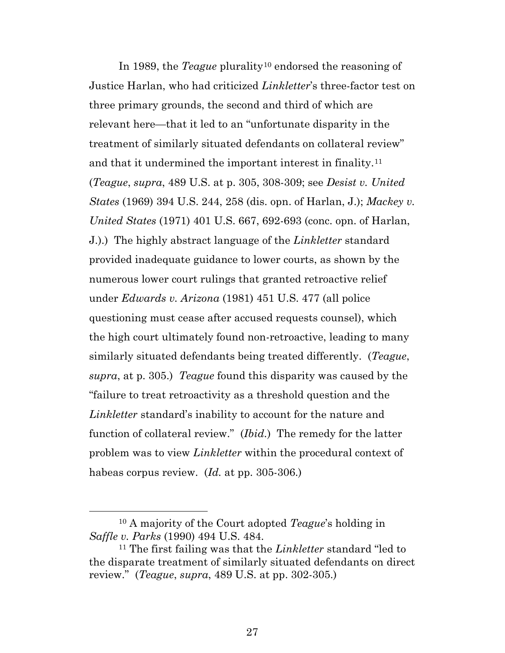In 1989, the *Teague* plurality<sup>[10](#page-26-0)</sup> endorsed the reasoning of Justice Harlan, who had criticized *Linkletter*'s three-factor test on three primary grounds, the second and third of which are relevant here—that it led to an "unfortunate disparity in the treatment of similarly situated defendants on collateral review" and that it undermined the important interest in finality.[11](#page-26-1)  (*Teague*, *supra*, 489 U.S. at p. 305, 308-309; see *Desist v. United States* (1969) 394 U.S. 244, 258 (dis. opn. of Harlan, J.); *Mackey v. United States* (1971) 401 U.S. 667, 692-693 (conc. opn. of Harlan, J.).) The highly abstract language of the *Linkletter* standard provided inadequate guidance to lower courts, as shown by the numerous lower court rulings that granted retroactive relief under *Edwards v. Arizona* (1981) 451 U.S. 477 (all police questioning must cease after accused requests counsel), which the high court ultimately found non-retroactive, leading to many similarly situated defendants being treated differently. (*Teague*, *supra*, at p. 305.) *Teague* found this disparity was caused by the "failure to treat retroactivity as a threshold question and the *Linkletter* standard's inability to account for the nature and function of collateral review." (*Ibid.*) The remedy for the latter problem was to view *Linkletter* within the procedural context of habeas corpus review. (*Id.* at pp. 305-306.)

<span id="page-26-0"></span> <sup>10</sup> A majority of the Court adopted *Teague*'s holding in *Saffle v. Parks* (1990) 494 U.S. 484.

<span id="page-26-1"></span><sup>11</sup> The first failing was that the *Linkletter* standard "led to the disparate treatment of similarly situated defendants on direct review." (*Teague*, *supra*, 489 U.S. at pp. 302-305.)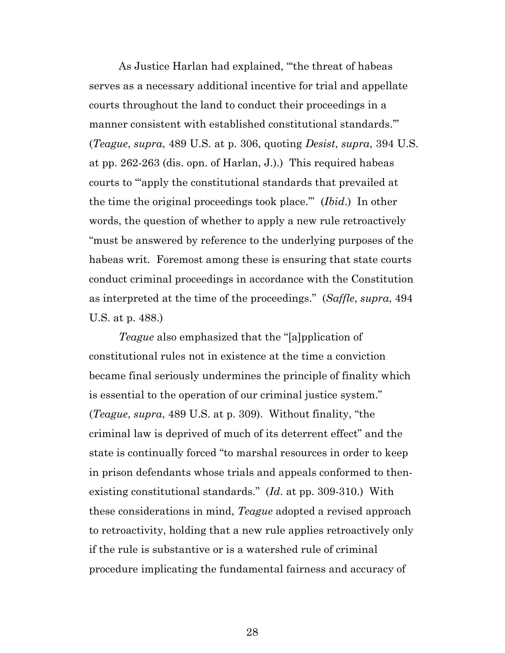As Justice Harlan had explained, "'the threat of habeas serves as a necessary additional incentive for trial and appellate courts throughout the land to conduct their proceedings in a manner consistent with established constitutional standards.'" (*Teague*, *supra*, 489 U.S. at p. 306, quoting *Desist*, *supra*, 394 U.S. at pp. 262-263 (dis. opn. of Harlan, J.).) This required habeas courts to "'apply the constitutional standards that prevailed at the time the original proceedings took place.'" (*Ibid*.) In other words, the question of whether to apply a new rule retroactively "must be answered by reference to the underlying purposes of the habeas writ. Foremost among these is ensuring that state courts conduct criminal proceedings in accordance with the Constitution as interpreted at the time of the proceedings." (*Saffle*, *supra*, 494 U.S. at p. 488.)

*Teague* also emphasized that the "[a]pplication of constitutional rules not in existence at the time a conviction became final seriously undermines the principle of finality which is essential to the operation of our criminal justice system." (*Teague*, *supra*, 489 U.S. at p. 309). Without finality, "the criminal law is deprived of much of its deterrent effect" and the state is continually forced "to marshal resources in order to keep in prison defendants whose trials and appeals conformed to thenexisting constitutional standards." (*Id*. at pp. 309-310.) With these considerations in mind, *Teague* adopted a revised approach to retroactivity, holding that a new rule applies retroactively only if the rule is substantive or is a watershed rule of criminal procedure implicating the fundamental fairness and accuracy of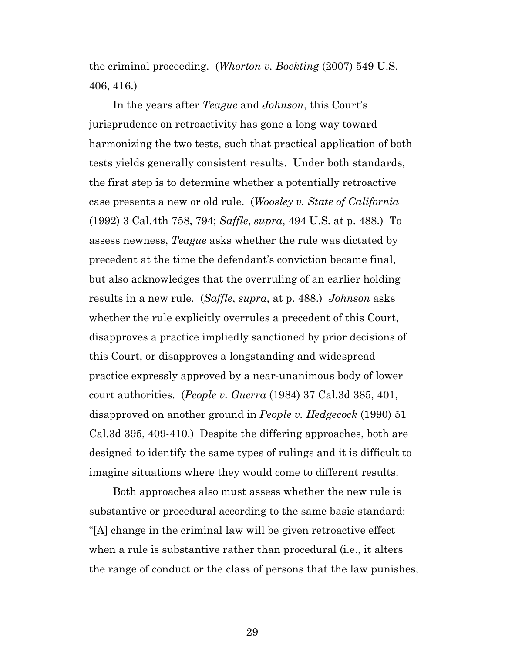the criminal proceeding. (*Whorton v. Bockting* (2007) 549 U.S. 406, 416.)

In the years after *Teague* and *Johnson*, this Court's jurisprudence on retroactivity has gone a long way toward harmonizing the two tests, such that practical application of both tests yields generally consistent results. Under both standards, the first step is to determine whether a potentially retroactive case presents a new or old rule. (*Woosley v. State of California* (1992) 3 Cal.4th 758, 794; *Saffle*, *supra*, 494 U.S. at p. 488.) To assess newness, *Teague* asks whether the rule was dictated by precedent at the time the defendant's conviction became final, but also acknowledges that the overruling of an earlier holding results in a new rule. (*Saffle*, *supra*, at p. 488.) *Johnson* asks whether the rule explicitly overrules a precedent of this Court, disapproves a practice impliedly sanctioned by prior decisions of this Court, or disapproves a longstanding and widespread practice expressly approved by a near-unanimous body of lower court authorities. (*People v. Guerra* (1984) 37 Cal.3d 385, 401, disapproved on another ground in *People v. Hedgecock* (1990) 51 Cal.3d 395, 409-410.) Despite the differing approaches, both are designed to identify the same types of rulings and it is difficult to imagine situations where they would come to different results.

Both approaches also must assess whether the new rule is substantive or procedural according to the same basic standard: "[A] change in the criminal law will be given retroactive effect when a rule is substantive rather than procedural (i.e., it alters the range of conduct or the class of persons that the law punishes,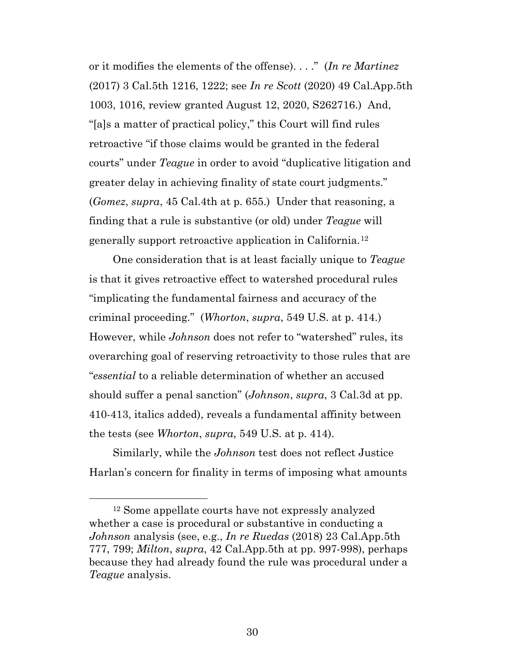or it modifies the elements of the offense). . . ." (*In re Martinez* (2017) 3 Cal.5th 1216, 1222; see *In re Scott* (2020) 49 Cal.App.5th 1003, 1016, review granted August 12, 2020, S262716.) And, "[a]s a matter of practical policy," this Court will find rules retroactive "if those claims would be granted in the federal courts" under *Teague* in order to avoid "duplicative litigation and greater delay in achieving finality of state court judgments." (*Gomez*, *supra*, 45 Cal.4th at p. 655.) Under that reasoning, a finding that a rule is substantive (or old) under *Teague* will generally support retroactive application in California.[12](#page-29-0)

One consideration that is at least facially unique to *Teague* is that it gives retroactive effect to watershed procedural rules "implicating the fundamental fairness and accuracy of the criminal proceeding." (*Whorton*, *supra*, 549 U.S. at p. 414.) However, while *Johnson* does not refer to "watershed" rules, its overarching goal of reserving retroactivity to those rules that are "*essential* to a reliable determination of whether an accused should suffer a penal sanction" (*Johnson*, *supra*, 3 Cal.3d at pp. 410-413, italics added), reveals a fundamental affinity between the tests (see *Whorton*, *supra*, 549 U.S. at p. 414).

Similarly, while the *Johnson* test does not reflect Justice Harlan's concern for finality in terms of imposing what amounts

<span id="page-29-0"></span> <sup>12</sup> Some appellate courts have not expressly analyzed whether a case is procedural or substantive in conducting a *Johnson* analysis (see, e.g., *In re Ruedas* (2018) 23 Cal.App.5th 777, 799; *Milton*, *supra*, 42 Cal.App.5th at pp. 997-998), perhaps because they had already found the rule was procedural under a *Teague* analysis.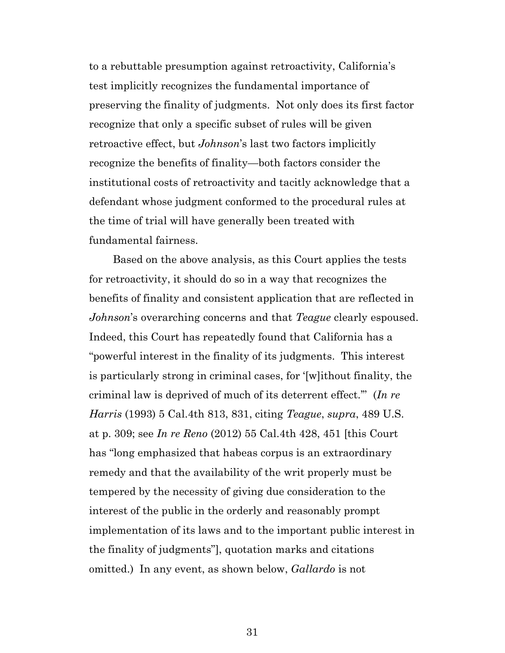to a rebuttable presumption against retroactivity, California's test implicitly recognizes the fundamental importance of preserving the finality of judgments. Not only does its first factor recognize that only a specific subset of rules will be given retroactive effect, but *Johnson*'s last two factors implicitly recognize the benefits of finality—both factors consider the institutional costs of retroactivity and tacitly acknowledge that a defendant whose judgment conformed to the procedural rules at the time of trial will have generally been treated with fundamental fairness.

Based on the above analysis, as this Court applies the tests for retroactivity, it should do so in a way that recognizes the benefits of finality and consistent application that are reflected in *Johnson*'s overarching concerns and that *Teague* clearly espoused. Indeed, this Court has repeatedly found that California has a "powerful interest in the finality of its judgments. This interest is particularly strong in criminal cases, for '[w]ithout finality, the criminal law is deprived of much of its deterrent effect.'" (*In re Harris* (1993) 5 Cal.4th 813, 831, citing *Teague*, *supra*, 489 U.S. at p. 309; see *In re Reno* (2012) 55 Cal.4th 428, 451 [this Court has "long emphasized that habeas corpus is an extraordinary remedy and that the availability of the writ properly must be tempered by the necessity of giving due consideration to the interest of the public in the orderly and reasonably prompt implementation of its laws and to the important public interest in the finality of judgments"], quotation marks and citations omitted.) In any event, as shown below, *Gallardo* is not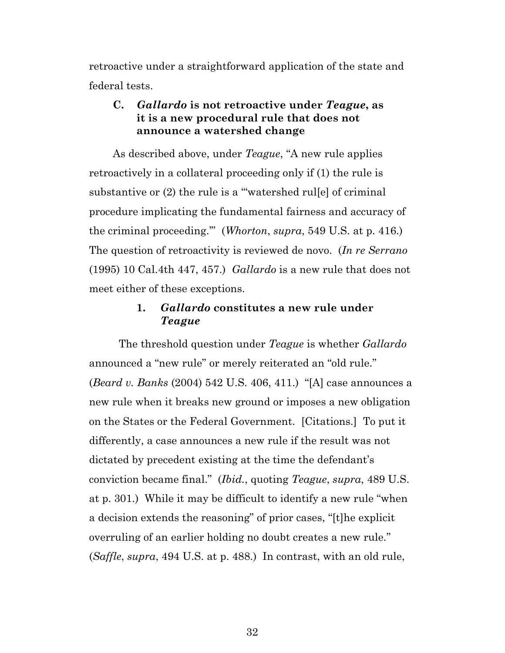retroactive under a straightforward application of the state and federal tests.

### **C.** *Gallardo* **is not retroactive under** *Teague***, as it is a new procedural rule that does not announce a watershed change**

As described above, under *Teague*, "A new rule applies retroactively in a collateral proceeding only if (1) the rule is substantive or (2) the rule is a "watershed rulle of criminal procedure implicating the fundamental fairness and accuracy of the criminal proceeding.'" (*Whorton*, *supra*, 549 U.S. at p. 416.) The question of retroactivity is reviewed de novo. (*In re Serrano*  (1995) 10 Cal.4th 447, 457.) *Gallardo* is a new rule that does not meet either of these exceptions.

### **1.** *Gallardo* **constitutes a new rule under**  *Teague*

The threshold question under *Teague* is whether *Gallardo* announced a "new rule" or merely reiterated an "old rule." (*Beard v. Banks* (2004) 542 U.S. 406, 411.) "[A] case announces a new rule when it breaks new ground or imposes a new obligation on the States or the Federal Government. [Citations.] To put it differently, a case announces a new rule if the result was not dictated by precedent existing at the time the defendant's conviction became final." (*Ibid.*, quoting *Teague*, *supra*, 489 U.S. at p. 301.) While it may be difficult to identify a new rule "when a decision extends the reasoning" of prior cases, "[t]he explicit overruling of an earlier holding no doubt creates a new rule." (*Saffle*, *supra*, 494 U.S. at p. 488.) In contrast, with an old rule,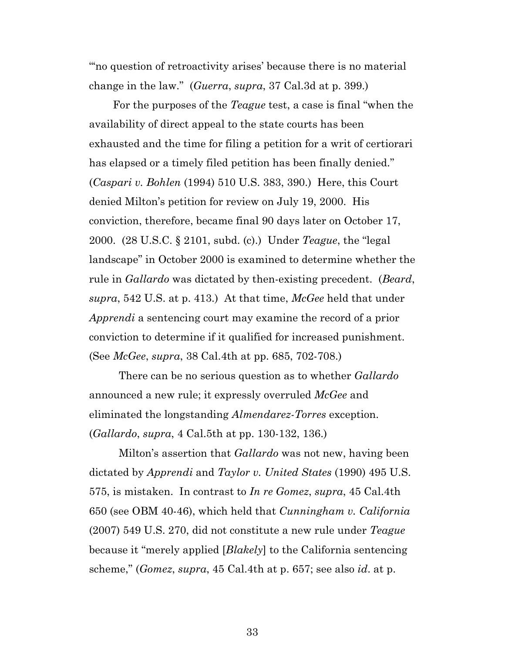"'no question of retroactivity arises' because there is no material change in the law." (*Guerra*, *supra*, 37 Cal.3d at p. 399.)

For the purposes of the *Teague* test, a case is final "when the availability of direct appeal to the state courts has been exhausted and the time for filing a petition for a writ of certiorari has elapsed or a timely filed petition has been finally denied." (*Caspari v. Bohlen* (1994) 510 U.S. 383, 390.) Here, this Court denied Milton's petition for review on July 19, 2000. His conviction, therefore, became final 90 days later on October 17, 2000. (28 U.S.C. § 2101, subd. (c).) Under *Teague*, the "legal landscape" in October 2000 is examined to determine whether the rule in *Gallardo* was dictated by then-existing precedent. (*Beard*, *supra*, 542 U.S. at p. 413.) At that time, *McGee* held that under *Apprendi* a sentencing court may examine the record of a prior conviction to determine if it qualified for increased punishment. (See *McGee*, *supra*, 38 Cal.4th at pp. 685, 702-708.)

There can be no serious question as to whether *Gallardo* announced a new rule; it expressly overruled *McGee* and eliminated the longstanding *Almendarez-Torres* exception. (*Gallardo*, *supra*, 4 Cal.5th at pp. 130-132, 136.)

 Milton's assertion that *Gallardo* was not new, having been dictated by *Apprendi* and *Taylor v. United States* (1990) 495 U.S. 575, is mistaken. In contrast to *In re Gomez*, *supra*, 45 Cal.4th 650 (see OBM 40-46), which held that *Cunningham v. California* (2007) 549 U.S. 270, did not constitute a new rule under *Teague* because it "merely applied [*Blakely*] to the California sentencing scheme," (*Gomez*, *supra*, 45 Cal.4th at p. 657; see also *id*. at p.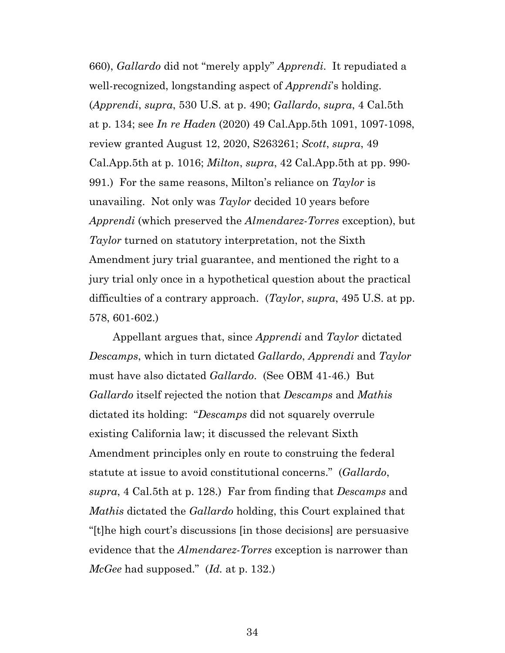660), *Gallardo* did not "merely apply" *Apprendi*. It repudiated a well-recognized, longstanding aspect of *Apprendi*'s holding. (*Apprendi*, *supra*, 530 U.S. at p. 490; *Gallardo*, *supra*, 4 Cal.5th at p. 134; see *In re Haden* (2020) 49 Cal.App.5th 1091, 1097-1098, review granted August 12, 2020, S263261; *Scott*, *supra*, 49 Cal.App.5th at p. 1016; *Milton*, *supra*, 42 Cal.App.5th at pp. 990- 991.) For the same reasons, Milton's reliance on *Taylor* is unavailing. Not only was *Taylor* decided 10 years before *Apprendi* (which preserved the *Almendarez*-*Torres* exception), but *Taylor* turned on statutory interpretation, not the Sixth Amendment jury trial guarantee, and mentioned the right to a jury trial only once in a hypothetical question about the practical difficulties of a contrary approach. (*Taylor*, *supra*, 495 U.S. at pp. 578, 601-602.)

Appellant argues that, since *Apprendi* and *Taylor* dictated *Descamps*, which in turn dictated *Gallardo*, *Apprendi* and *Taylor* must have also dictated *Gallardo*. (See OBM 41-46.) But *Gallardo* itself rejected the notion that *Descamps* and *Mathis* dictated its holding: "*Descamps* did not squarely overrule existing California law; it discussed the relevant Sixth Amendment principles only en route to construing the federal statute at issue to avoid constitutional concerns." (*Gallardo*, *supra*, 4 Cal.5th at p. 128.) Far from finding that *Descamps* and *Mathis* dictated the *Gallardo* holding, this Court explained that "[t]he high court's discussions [in those decisions] are persuasive evidence that the *Almendarez-Torres* exception is narrower than *McGee* had supposed." (*Id.* at p. 132.)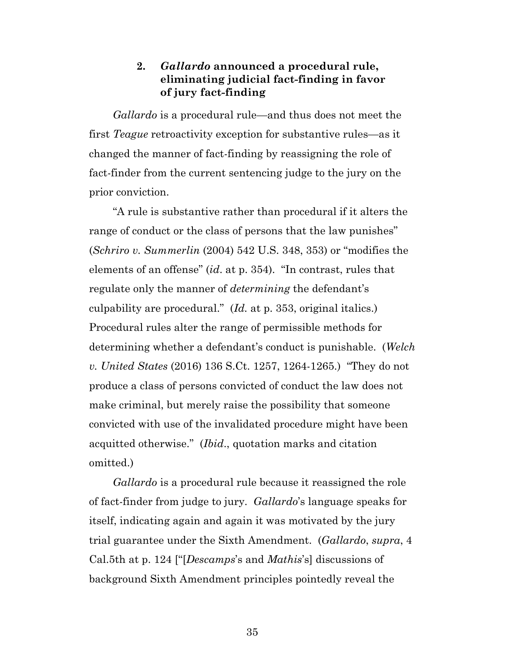### **2.** *Gallardo* **announced a procedural rule, eliminating judicial fact-finding in favor of jury fact-finding**

*Gallardo* is a procedural rule—and thus does not meet the first *Teague* retroactivity exception for substantive rules—as it changed the manner of fact-finding by reassigning the role of fact-finder from the current sentencing judge to the jury on the prior conviction.

"A rule is substantive rather than procedural if it alters the range of conduct or the class of persons that the law punishes" (*Schriro v. Summerlin* (2004) 542 U.S. 348, 353) or "modifies the elements of an offense" (*id*. at p. 354). "In contrast, rules that regulate only the manner of *determining* the defendant's culpability are procedural." (*Id.* at p. 353, original italics.) Procedural rules alter the range of permissible methods for determining whether a defendant's conduct is punishable. (*Welch v. United States* (2016) 136 S.Ct. 1257, 1264-1265.) "They do not produce a class of persons convicted of conduct the law does not make criminal, but merely raise the possibility that someone convicted with use of the invalidated procedure might have been acquitted otherwise." (*Ibid*., quotation marks and citation omitted.)

*Gallardo* is a procedural rule because it reassigned the role of fact-finder from judge to jury. *Gallardo*'s language speaks for itself, indicating again and again it was motivated by the jury trial guarantee under the Sixth Amendment. (*Gallardo*, *supra*, 4 Cal.5th at p. 124 ["[*Descamps*'s and *Mathis*'s] discussions of background Sixth Amendment principles pointedly reveal the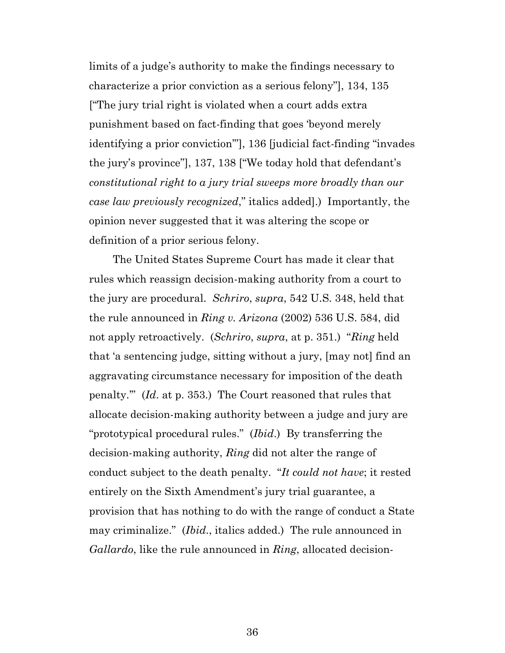limits of a judge's authority to make the findings necessary to characterize a prior conviction as a serious felony"], 134, 135 ["The jury trial right is violated when a court adds extra punishment based on fact-finding that goes 'beyond merely identifying a prior conviction'"], 136 [judicial fact-finding "invades the jury's province"], 137, 138 ["We today hold that defendant's *constitutional right to a jury trial sweeps more broadly than our case law previously recognized*," italics added].) Importantly, the opinion never suggested that it was altering the scope or definition of a prior serious felony.

The United States Supreme Court has made it clear that rules which reassign decision-making authority from a court to the jury are procedural. *Schriro*, *supra*, 542 U.S. 348, held that the rule announced in *Ring v. Arizona* (2002) 536 U.S. 584, did not apply retroactively. (*Schriro*, *supra*, at p. 351.) "*Ring* held that 'a sentencing judge, sitting without a jury, [may not] find an aggravating circumstance necessary for imposition of the death penalty.'" (*Id*. at p. 353.) The Court reasoned that rules that allocate decision-making authority between a judge and jury are "prototypical procedural rules." (*Ibid*.) By transferring the decision-making authority, *Ring* did not alter the range of conduct subject to the death penalty. "*It could not have*; it rested entirely on the Sixth Amendment's jury trial guarantee, a provision that has nothing to do with the range of conduct a State may criminalize." (*Ibid*., italics added.) The rule announced in *Gallardo*, like the rule announced in *Ring*, allocated decision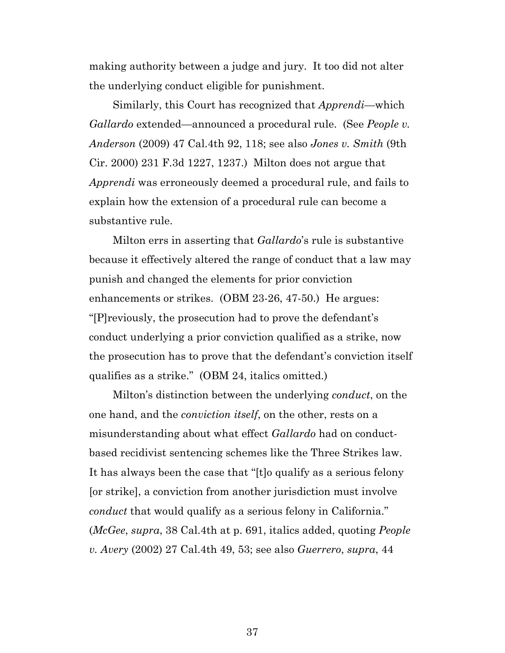making authority between a judge and jury. It too did not alter the underlying conduct eligible for punishment.

Similarly, this Court has recognized that *Apprendi*—which *Gallardo* extended—announced a procedural rule. (See *People v. Anderson* (2009) 47 Cal.4th 92, 118; see also *Jones v. Smith* (9th Cir. 2000) 231 F.3d 1227, 1237.) Milton does not argue that *Apprendi* was erroneously deemed a procedural rule, and fails to explain how the extension of a procedural rule can become a substantive rule.

Milton errs in asserting that *Gallardo*'s rule is substantive because it effectively altered the range of conduct that a law may punish and changed the elements for prior conviction enhancements or strikes. (OBM 23-26, 47-50.) He argues: "[P]reviously, the prosecution had to prove the defendant's conduct underlying a prior conviction qualified as a strike, now the prosecution has to prove that the defendant's conviction itself qualifies as a strike." (OBM 24, italics omitted.)

Milton's distinction between the underlying *conduct*, on the one hand, and the *conviction itself*, on the other, rests on a misunderstanding about what effect *Gallardo* had on conductbased recidivist sentencing schemes like the Three Strikes law. It has always been the case that "[t]o qualify as a serious felony [or strike], a conviction from another jurisdiction must involve *conduct* that would qualify as a serious felony in California." (*McGee*, *supra*, 38 Cal.4th at p. 691, italics added, quoting *People v. Avery* (2002) 27 Cal.4th 49, 53; see also *Guerrero*, *supra*, 44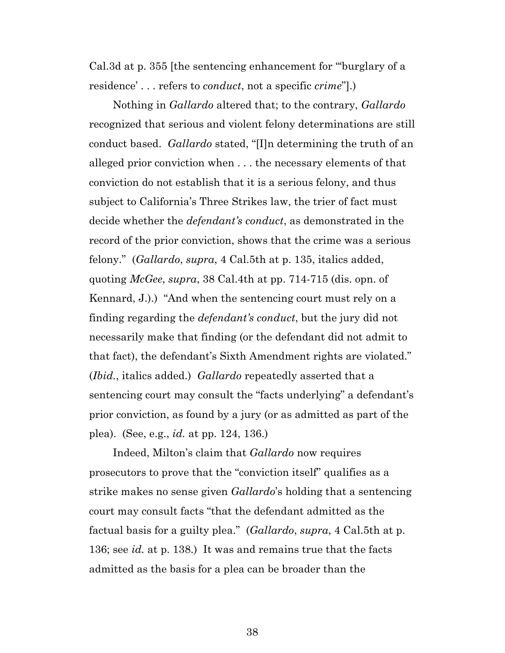Cal.3d at p. 355 [the sentencing enhancement for "'burglary of a residence' . . . refers to *conduct*, not a specific *crime*"].)

Nothing in *Gallardo* altered that; to the contrary, *Gallardo* recognized that serious and violent felony determinations are still conduct based. *Gallardo* stated, "[I]n determining the truth of an alleged prior conviction when . . . the necessary elements of that conviction do not establish that it is a serious felony, and thus subject to California's Three Strikes law, the trier of fact must decide whether the *defendant's conduct*, as demonstrated in the record of the prior conviction, shows that the crime was a serious felony." (*Gallardo*, *supra*, 4 Cal.5th at p. 135, italics added, quoting *McGee*, *supra*, 38 Cal.4th at pp. 714-715 (dis. opn. of Kennard, J.).) "And when the sentencing court must rely on a finding regarding the *defendant's conduct*, but the jury did not necessarily make that finding (or the defendant did not admit to that fact), the defendant's Sixth Amendment rights are violated." (*Ibid.*, italics added.) *Gallardo* repeatedly asserted that a sentencing court may consult the "facts underlying" a defendant's prior conviction, as found by a jury (or as admitted as part of the plea). (See, e.g., *id.* at pp. 124, 136.)

Indeed, Milton's claim that *Gallardo* now requires prosecutors to prove that the "conviction itself" qualifies as a strike makes no sense given *Gallardo*'s holding that a sentencing court may consult facts "that the defendant admitted as the factual basis for a guilty plea." (*Gallardo*, *supra*, 4 Cal.5th at p. 136; see *id.* at p. 138.) It was and remains true that the facts admitted as the basis for a plea can be broader than the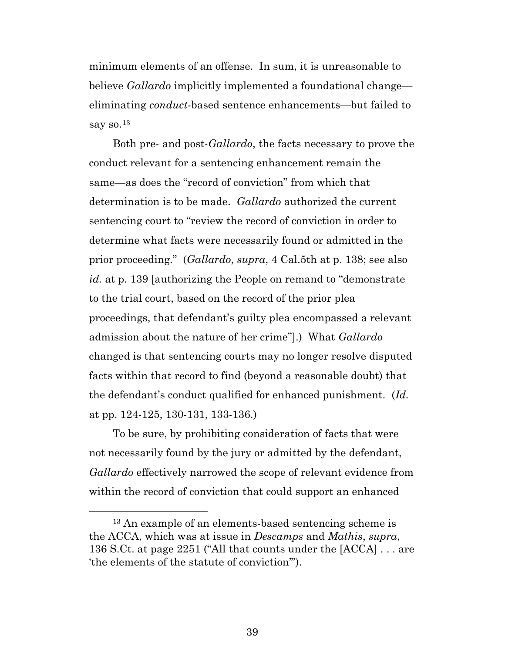minimum elements of an offense. In sum, it is unreasonable to believe *Gallardo* implicitly implemented a foundational change eliminating *conduct*-based sentence enhancements—but failed to say so. $^{13}$  $^{13}$  $^{13}$ 

Both pre- and post-*Gallardo*, the facts necessary to prove the conduct relevant for a sentencing enhancement remain the same—as does the "record of conviction" from which that determination is to be made. *Gallardo* authorized the current sentencing court to "review the record of conviction in order to determine what facts were necessarily found or admitted in the prior proceeding." (*Gallardo*, *supra*, 4 Cal.5th at p. 138; see also *id.* at p. 139 [authorizing the People on remand to "demonstrate to the trial court, based on the record of the prior plea proceedings, that defendant's guilty plea encompassed a relevant admission about the nature of her crime"].) What *Gallardo* changed is that sentencing courts may no longer resolve disputed facts within that record to find (beyond a reasonable doubt) that the defendant's conduct qualified for enhanced punishment. (*Id.* at pp. 124-125, 130-131, 133-136.)

To be sure, by prohibiting consideration of facts that were not necessarily found by the jury or admitted by the defendant, *Gallardo* effectively narrowed the scope of relevant evidence from within the record of conviction that could support an enhanced

<span id="page-38-0"></span> <sup>13</sup> An example of an elements-based sentencing scheme is the ACCA, which was at issue in *Descamps* and *Mathis*, *supra*, 136 S.Ct. at page 2251 ("All that counts under the [ACCA] . . . are 'the elements of the statute of conviction'").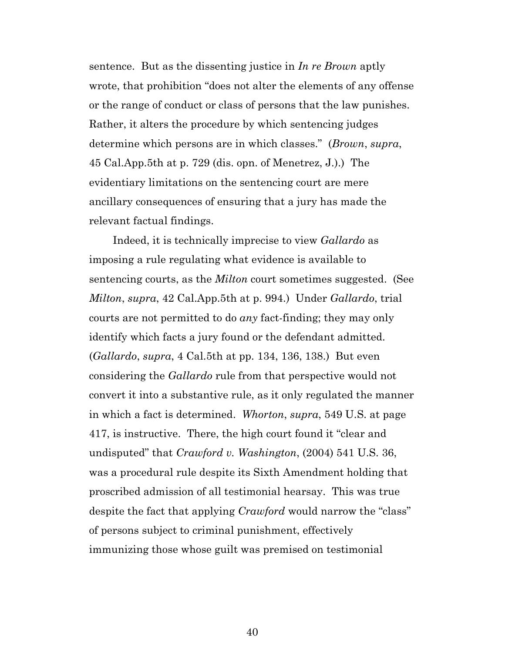sentence. But as the dissenting justice in *In re Brown* aptly wrote, that prohibition "does not alter the elements of any offense or the range of conduct or class of persons that the law punishes. Rather, it alters the procedure by which sentencing judges determine which persons are in which classes." (*Brown*, *supra*, 45 Cal.App.5th at p. 729 (dis. opn. of Menetrez, J.).) The evidentiary limitations on the sentencing court are mere ancillary consequences of ensuring that a jury has made the relevant factual findings.

Indeed, it is technically imprecise to view *Gallardo* as imposing a rule regulating what evidence is available to sentencing courts, as the *Milton* court sometimes suggested. (See *Milton*, *supra*, 42 Cal.App.5th at p. 994.) Under *Gallardo*, trial courts are not permitted to do *any* fact-finding; they may only identify which facts a jury found or the defendant admitted. (*Gallardo*, *supra*, 4 Cal.5th at pp. 134, 136, 138.) But even considering the *Gallardo* rule from that perspective would not convert it into a substantive rule, as it only regulated the manner in which a fact is determined. *Whorton*, *supra*, 549 U.S. at page 417, is instructive. There, the high court found it "clear and undisputed" that *Crawford v. Washington*, (2004) 541 U.S. 36, was a procedural rule despite its Sixth Amendment holding that proscribed admission of all testimonial hearsay. This was true despite the fact that applying *Crawford* would narrow the "class" of persons subject to criminal punishment, effectively immunizing those whose guilt was premised on testimonial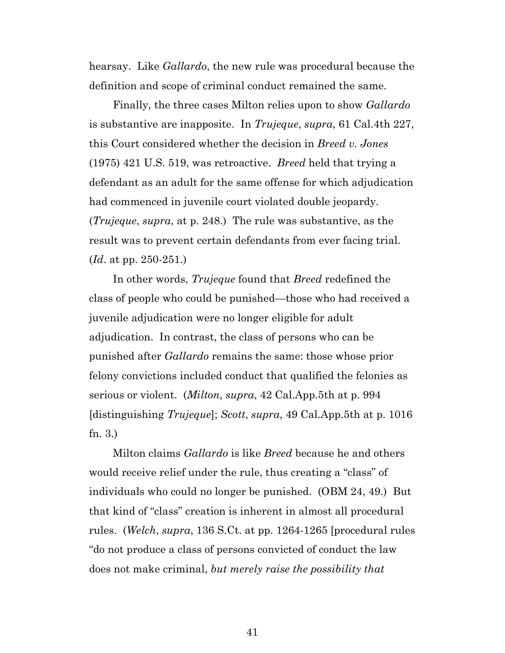hearsay. Like *Gallardo*, the new rule was procedural because the definition and scope of criminal conduct remained the same.

Finally, the three cases Milton relies upon to show *Gallardo* is substantive are inapposite. In *Trujeque*, *supra*, 61 Cal.4th 227, this Court considered whether the decision in *Breed v. Jones* (1975) 421 U.S. 519, was retroactive. *Breed* held that trying a defendant as an adult for the same offense for which adjudication had commenced in juvenile court violated double jeopardy. (*Trujeque*, *supra*, at p. 248.) The rule was substantive, as the result was to prevent certain defendants from ever facing trial. (*Id*. at pp. 250-251.)

In other words, *Trujeque* found that *Breed* redefined the class of people who could be punished—those who had received a juvenile adjudication were no longer eligible for adult adjudication. In contrast, the class of persons who can be punished after *Gallardo* remains the same: those whose prior felony convictions included conduct that qualified the felonies as serious or violent. (*Milton*, *supra*, 42 Cal.App.5th at p. 994 [distinguishing *Trujeque*]; *Scott*, *supra*, 49 Cal.App.5th at p. 1016 fn. 3.)

Milton claims *Gallardo* is like *Breed* because he and others would receive relief under the rule, thus creating a "class" of individuals who could no longer be punished. (OBM 24, 49.) But that kind of "class" creation is inherent in almost all procedural rules. (*Welch*, *supra*, 136 S.Ct. at pp. 1264-1265 [procedural rules "do not produce a class of persons convicted of conduct the law does not make criminal, *but merely raise the possibility that*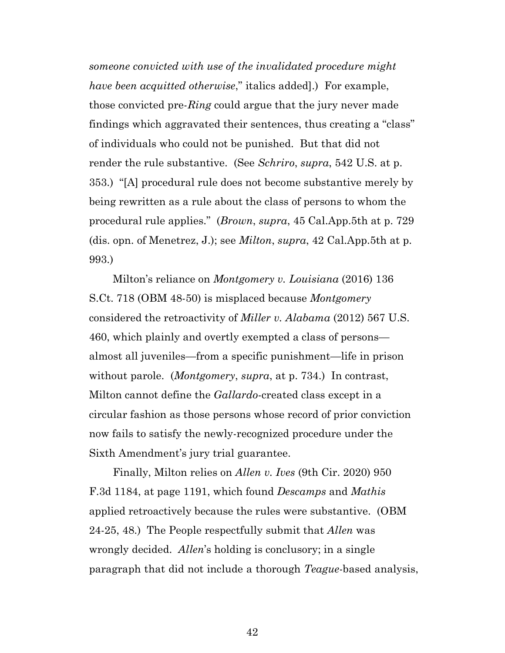*someone convicted with use of the invalidated procedure might have been acquitted otherwise*," italics added].) For example, those convicted pre-*Ring* could argue that the jury never made findings which aggravated their sentences, thus creating a "class" of individuals who could not be punished. But that did not render the rule substantive. (See *Schriro*, *supra*, 542 U.S. at p. 353.) "[A] procedural rule does not become substantive merely by being rewritten as a rule about the class of persons to whom the procedural rule applies." (*Brown*, *supra*, 45 Cal.App.5th at p. 729 (dis. opn. of Menetrez, J.); see *Milton*, *supra*, 42 Cal.App.5th at p. 993.)

Milton's reliance on *Montgomery v. Louisiana* (2016) 136 S.Ct. 718 (OBM 48-50) is misplaced because *Montgomery* considered the retroactivity of *Miller v. Alabama* (2012) 567 U.S. 460, which plainly and overtly exempted a class of persons almost all juveniles—from a specific punishment—life in prison without parole. (*Montgomery*, *supra*, at p. 734.) In contrast, Milton cannot define the *Gallardo*-created class except in a circular fashion as those persons whose record of prior conviction now fails to satisfy the newly-recognized procedure under the Sixth Amendment's jury trial guarantee.

Finally, Milton relies on *Allen v. Ives* (9th Cir. 2020) 950 F.3d 1184, at page 1191, which found *Descamps* and *Mathis* applied retroactively because the rules were substantive. (OBM 24-25, 48.) The People respectfully submit that *Allen* was wrongly decided. *Allen*'s holding is conclusory; in a single paragraph that did not include a thorough *Teague*-based analysis,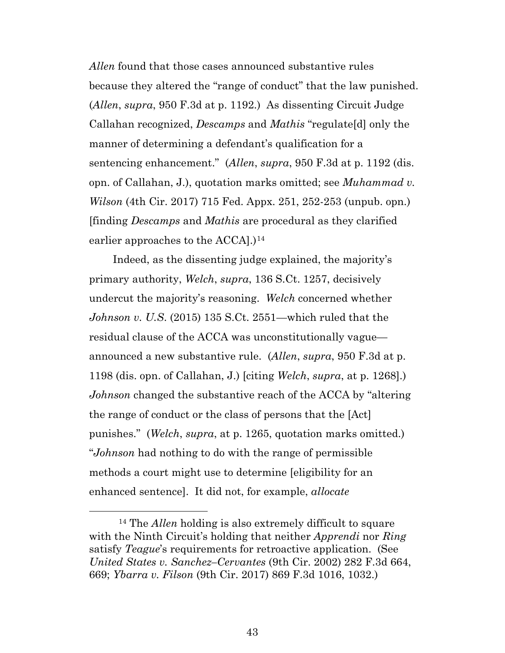*Allen* found that those cases announced substantive rules because they altered the "range of conduct" that the law punished. (*Allen*, *supra*, 950 F.3d at p. 1192.) As dissenting Circuit Judge Callahan recognized, *Descamps* and *Mathis* "regulate[d] only the manner of determining a defendant's qualification for a sentencing enhancement." (*Allen*, *supra*, 950 F.3d at p. 1192 (dis. opn. of Callahan, J.), quotation marks omitted; see *Muhammad v. Wilson* (4th Cir. 2017) 715 Fed. Appx. 251, 252-253 (unpub. opn.) [finding *Descamps* and *Mathis* are procedural as they clarified earlier approaches to the ACCA].)<sup>[14](#page-42-0)</sup>

Indeed, as the dissenting judge explained, the majority's primary authority, *Welch*, *supra*, 136 S.Ct. 1257, decisively undercut the majority's reasoning. *Welch* concerned whether *Johnson v. U.S*. (2015) 135 S.Ct. 2551—which ruled that the residual clause of the ACCA was unconstitutionally vague announced a new substantive rule. (*Allen*, *supra*, 950 F.3d at p. 1198 (dis. opn. of Callahan, J.) [citing *Welch*, *supra*, at p. 1268].) *Johnson* changed the substantive reach of the ACCA by "altering the range of conduct or the class of persons that the [Act] punishes." (*Welch*, *supra*, at p. 1265, quotation marks omitted.) "*Johnson* had nothing to do with the range of permissible methods a court might use to determine [eligibility for an enhanced sentence]. It did not, for example, *allocate* 

<span id="page-42-0"></span> <sup>14</sup> The *Allen* holding is also extremely difficult to square with the Ninth Circuit's holding that neither *Apprendi* nor *Ring* satisfy *Teague*'s requirements for retroactive application. (See *United States v. Sanchez–Cervantes* (9th Cir. 2002) 282 F.3d 664, 669; *Ybarra v. Filson* (9th Cir. 2017) 869 F.3d 1016, 1032.)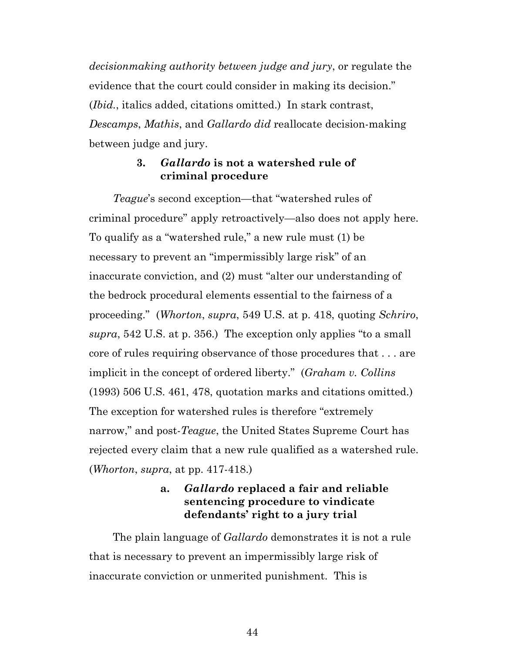*decisionmaking authority between judge and jury*, or regulate the evidence that the court could consider in making its decision." (*Ibid.*, italics added, citations omitted.) In stark contrast, *Descamps*, *Mathis*, and *Gallardo did* reallocate decision-making between judge and jury.

#### **3.** *Gallardo* **is not a watershed rule of criminal procedure**

*Teague*'s second exception—that "watershed rules of criminal procedure" apply retroactively—also does not apply here. To qualify as a "watershed rule," a new rule must (1) be necessary to prevent an "impermissibly large risk" of an inaccurate conviction, and (2) must "alter our understanding of the bedrock procedural elements essential to the fairness of a proceeding." (*Whorton*, *supra*, 549 U.S. at p. 418, quoting *Schriro*, *supra*, 542 U.S. at p. 356.) The exception only applies "to a small core of rules requiring observance of those procedures that . . . are implicit in the concept of ordered liberty." (*Graham v. Collins*  (1993) 506 U.S. 461, 478, quotation marks and citations omitted.) The exception for watershed rules is therefore "extremely narrow," and post-*Teague*, the United States Supreme Court has rejected every claim that a new rule qualified as a watershed rule. (*Whorton*, *supra*, at pp. 417-418.)

### **a.** *Gallardo* **replaced a fair and reliable sentencing procedure to vindicate defendants' right to a jury trial**

The plain language of *Gallardo* demonstrates it is not a rule that is necessary to prevent an impermissibly large risk of inaccurate conviction or unmerited punishment. This is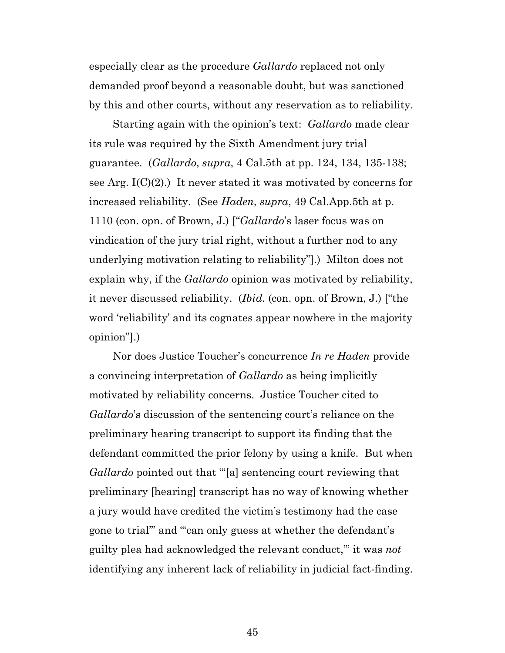especially clear as the procedure *Gallardo* replaced not only demanded proof beyond a reasonable doubt, but was sanctioned by this and other courts, without any reservation as to reliability.

Starting again with the opinion's text: *Gallardo* made clear its rule was required by the Sixth Amendment jury trial guarantee. (*Gallardo*, *supra*, 4 Cal.5th at pp. 124, 134, 135-138; see Arg.  $I(C)(2)$ .) It never stated it was motivated by concerns for increased reliability. (See *Haden*, *supra*, 49 Cal.App.5th at p. 1110 (con. opn. of Brown, J.) ["*Gallardo*'s laser focus was on vindication of the jury trial right, without a further nod to any underlying motivation relating to reliability"].) Milton does not explain why, if the *Gallardo* opinion was motivated by reliability, it never discussed reliability. (*Ibid.* (con. opn. of Brown, J.) ["the word 'reliability' and its cognates appear nowhere in the majority opinion"].)

Nor does Justice Toucher's concurrence *In re Haden* provide a convincing interpretation of *Gallardo* as being implicitly motivated by reliability concerns. Justice Toucher cited to *Gallardo*'s discussion of the sentencing court's reliance on the preliminary hearing transcript to support its finding that the defendant committed the prior felony by using a knife. But when *Gallardo* pointed out that "'[a] sentencing court reviewing that preliminary [hearing] transcript has no way of knowing whether a jury would have credited the victim's testimony had the case gone to trial'" and "'can only guess at whether the defendant's guilty plea had acknowledged the relevant conduct,'" it was *not* identifying any inherent lack of reliability in judicial fact-finding.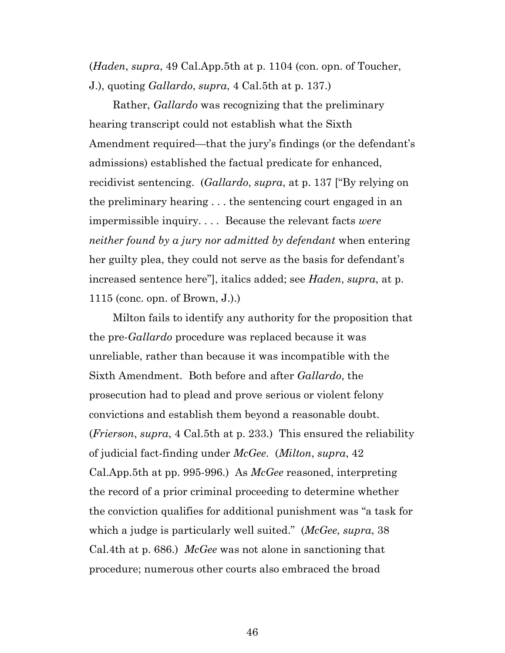(*Haden*, *supra*, 49 Cal.App.5th at p. 1104 (con. opn. of Toucher, J.), quoting *Gallardo*, *supra*, 4 Cal.5th at p. 137.)

Rather, *Gallardo* was recognizing that the preliminary hearing transcript could not establish what the Sixth Amendment required—that the jury's findings (or the defendant's admissions) established the factual predicate for enhanced, recidivist sentencing. (*Gallardo*, *supra*, at p. 137 ["By relying on the preliminary hearing . . . the sentencing court engaged in an impermissible inquiry. . . . Because the relevant facts *were neither found by a jury nor admitted by defendant* when entering her guilty plea, they could not serve as the basis for defendant's increased sentence here"], italics added; see *Haden*, *supra*, at p. 1115 (conc. opn. of Brown, J.).)

Milton fails to identify any authority for the proposition that the pre-*Gallardo* procedure was replaced because it was unreliable, rather than because it was incompatible with the Sixth Amendment. Both before and after *Gallardo*, the prosecution had to plead and prove serious or violent felony convictions and establish them beyond a reasonable doubt. (*Frierson*, *supra*, 4 Cal.5th at p. 233.) This ensured the reliability of judicial fact-finding under *McGee*. (*Milton*, *supra*, 42 Cal.App.5th at pp. 995-996.) As *McGee* reasoned, interpreting the record of a prior criminal proceeding to determine whether the conviction qualifies for additional punishment was "a task for which a judge is particularly well suited." (*McGee*, *supra*, 38 Cal.4th at p. 686.) *McGee* was not alone in sanctioning that procedure; numerous other courts also embraced the broad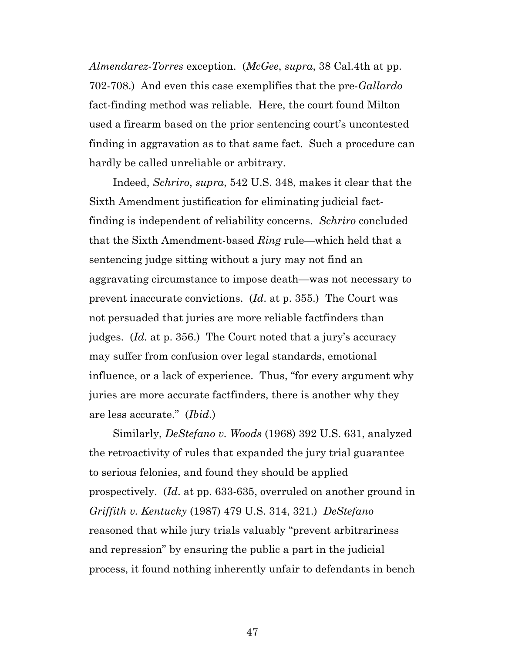*Almendarez*-*Torres* exception. (*McGee*, *supra*, 38 Cal.4th at pp. 702-708.) And even this case exemplifies that the pre-*Gallardo* fact-finding method was reliable. Here, the court found Milton used a firearm based on the prior sentencing court's uncontested finding in aggravation as to that same fact. Such a procedure can hardly be called unreliable or arbitrary.

Indeed, *Schriro*, *supra*, 542 U.S. 348, makes it clear that the Sixth Amendment justification for eliminating judicial factfinding is independent of reliability concerns. *Schriro* concluded that the Sixth Amendment-based *Ring* rule—which held that a sentencing judge sitting without a jury may not find an aggravating circumstance to impose death—was not necessary to prevent inaccurate convictions. (*Id*. at p. 355.) The Court was not persuaded that juries are more reliable factfinders than judges. (*Id.* at p. 356.) The Court noted that a jury's accuracy may suffer from confusion over legal standards, emotional influence, or a lack of experience. Thus, "for every argument why juries are more accurate factfinders, there is another why they are less accurate." (*Ibid*.)

Similarly, *DeStefano v. Woods* (1968) 392 U.S. 631, analyzed the retroactivity of rules that expanded the jury trial guarantee to serious felonies, and found they should be applied prospectively. (*Id*. at pp. 633-635, overruled on another ground in *Griffith v. Kentucky* (1987) 479 U.S. 314, 321.) *DeStefano* reasoned that while jury trials valuably "prevent arbitrariness and repression" by ensuring the public a part in the judicial process, it found nothing inherently unfair to defendants in bench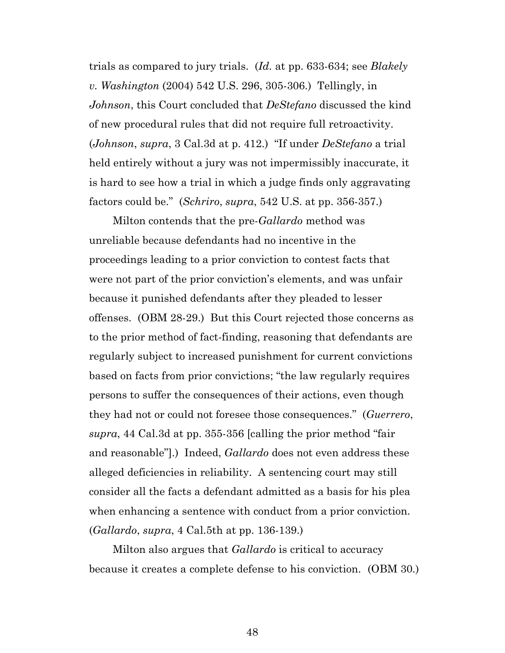trials as compared to jury trials. (*Id.* at pp. 633-634; see *Blakely v. Washington* (2004) 542 U.S. 296, 305-306.) Tellingly, in *Johnson*, this Court concluded that *DeStefano* discussed the kind of new procedural rules that did not require full retroactivity. (*Johnson*, *supra*, 3 Cal.3d at p. 412.) "If under *DeStefano* a trial held entirely without a jury was not impermissibly inaccurate, it is hard to see how a trial in which a judge finds only aggravating factors could be." (*Schriro*, *supra*, 542 U.S. at pp. 356-357.)

Milton contends that the pre-*Gallardo* method was unreliable because defendants had no incentive in the proceedings leading to a prior conviction to contest facts that were not part of the prior conviction's elements, and was unfair because it punished defendants after they pleaded to lesser offenses. (OBM 28-29.) But this Court rejected those concerns as to the prior method of fact-finding, reasoning that defendants are regularly subject to increased punishment for current convictions based on facts from prior convictions; "the law regularly requires persons to suffer the consequences of their actions, even though they had not or could not foresee those consequences." (*Guerrero*, *supra*, 44 Cal.3d at pp. 355-356 [calling the prior method "fair and reasonable"].) Indeed, *Gallardo* does not even address these alleged deficiencies in reliability. A sentencing court may still consider all the facts a defendant admitted as a basis for his plea when enhancing a sentence with conduct from a prior conviction. (*Gallardo*, *supra*, 4 Cal.5th at pp. 136-139.)

Milton also argues that *Gallardo* is critical to accuracy because it creates a complete defense to his conviction. (OBM 30.)

48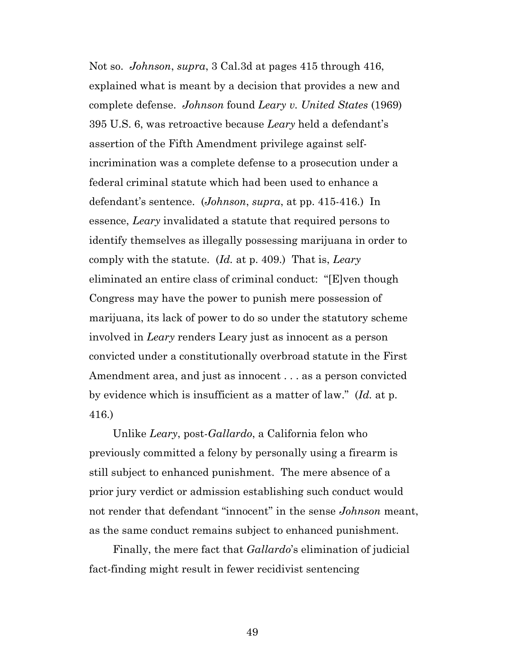Not so. *Johnson*, *supra*, 3 Cal.3d at pages 415 through 416, explained what is meant by a decision that provides a new and complete defense. *Johnson* found *Leary v. United States* (1969) 395 U.S. 6, was retroactive because *Leary* held a defendant's assertion of the Fifth Amendment privilege against selfincrimination was a complete defense to a prosecution under a federal criminal statute which had been used to enhance a defendant's sentence. (*Johnson*, *supra*, at pp. 415-416.) In essence, *Leary* invalidated a statute that required persons to identify themselves as illegally possessing marijuana in order to comply with the statute. (*Id.* at p. 409.) That is, *Leary* eliminated an entire class of criminal conduct: "[E]ven though Congress may have the power to punish mere possession of marijuana, its lack of power to do so under the statutory scheme involved in *Leary* renders Leary just as innocent as a person convicted under a constitutionally overbroad statute in the First Amendment area, and just as innocent . . . as a person convicted by evidence which is insufficient as a matter of law." (*Id.* at p. 416.)

Unlike *Leary*, post-*Gallardo*, a California felon who previously committed a felony by personally using a firearm is still subject to enhanced punishment. The mere absence of a prior jury verdict or admission establishing such conduct would not render that defendant "innocent" in the sense *Johnson* meant, as the same conduct remains subject to enhanced punishment.

Finally, the mere fact that *Gallardo*'s elimination of judicial fact-finding might result in fewer recidivist sentencing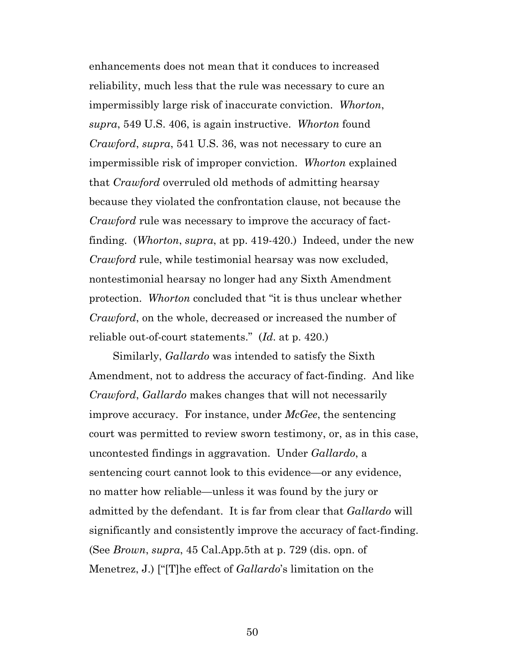enhancements does not mean that it conduces to increased reliability, much less that the rule was necessary to cure an impermissibly large risk of inaccurate conviction. *Whorton*, *supra*, 549 U.S. 406, is again instructive. *Whorton* found *Crawford*, *supra*, 541 U.S. 36, was not necessary to cure an impermissible risk of improper conviction. *Whorton* explained that *Crawford* overruled old methods of admitting hearsay because they violated the confrontation clause, not because the *Crawford* rule was necessary to improve the accuracy of factfinding. (*Whorton*, *supra*, at pp. 419-420.) Indeed, under the new *Crawford* rule, while testimonial hearsay was now excluded, nontestimonial hearsay no longer had any Sixth Amendment protection. *Whorton* concluded that "it is thus unclear whether *Crawford*, on the whole, decreased or increased the number of reliable out-of-court statements." (*Id*. at p. 420.)

Similarly, *Gallardo* was intended to satisfy the Sixth Amendment, not to address the accuracy of fact-finding. And like *Crawford*, *Gallardo* makes changes that will not necessarily improve accuracy. For instance, under *McGee*, the sentencing court was permitted to review sworn testimony, or, as in this case, uncontested findings in aggravation. Under *Gallardo*, a sentencing court cannot look to this evidence—or any evidence, no matter how reliable—unless it was found by the jury or admitted by the defendant. It is far from clear that *Gallardo* will significantly and consistently improve the accuracy of fact-finding. (See *Brown*, *supra*, 45 Cal.App.5th at p. 729 (dis. opn. of Menetrez, J.) ["[T]he effect of *Gallardo*'s limitation on the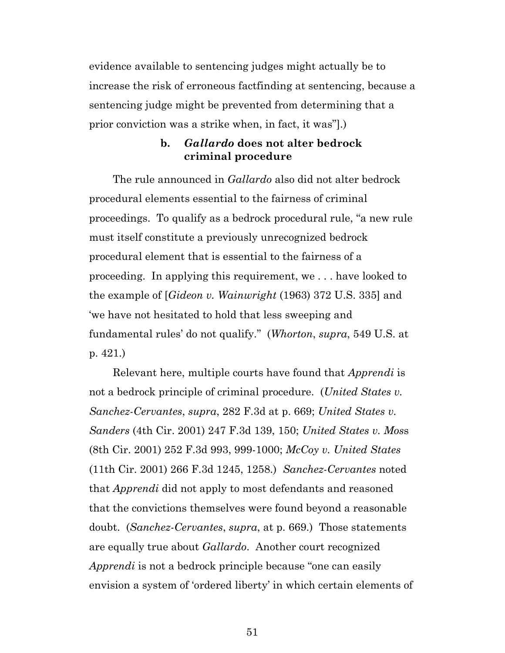evidence available to sentencing judges might actually be to increase the risk of erroneous factfinding at sentencing, because a sentencing judge might be prevented from determining that a prior conviction was a strike when, in fact, it was"].)

#### **b.** *Gallardo* **does not alter bedrock criminal procedure**

The rule announced in *Gallardo* also did not alter bedrock procedural elements essential to the fairness of criminal proceedings. To qualify as a bedrock procedural rule, "a new rule must itself constitute a previously unrecognized bedrock procedural element that is essential to the fairness of a proceeding. In applying this requirement, we . . . have looked to the example of [*Gideon v. Wainwright* (1963) 372 U.S. 335] and 'we have not hesitated to hold that less sweeping and fundamental rules' do not qualify." (*Whorton*, *supra*, 549 U.S. at p. 421.)

Relevant here, multiple courts have found that *Apprendi* is not a bedrock principle of criminal procedure. (*United States v. Sanchez-Cervantes*, *supra*, 282 F.3d at p. 669; *United States v. Sanders* (4th Cir. 2001) 247 F.3d 139, 150; *United States v. Mos*s (8th Cir. 2001) 252 F.3d 993, 999-1000; *McCoy v. United States* (11th Cir. 2001) 266 F.3d 1245, 1258.) *Sanchez-Cervantes* noted that *Apprendi* did not apply to most defendants and reasoned that the convictions themselves were found beyond a reasonable doubt. (*Sanchez-Cervantes*, *supra*, at p. 669.) Those statements are equally true about *Gallardo*. Another court recognized *Apprendi* is not a bedrock principle because "one can easily envision a system of 'ordered liberty' in which certain elements of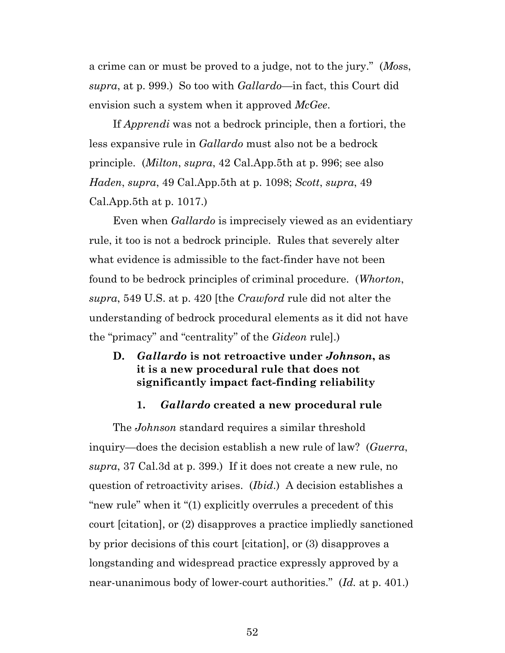a crime can or must be proved to a judge, not to the jury." (*Mos*s, *supra*, at p. 999.) So too with *Gallardo*—in fact, this Court did envision such a system when it approved *McGee*.

If *Apprendi* was not a bedrock principle, then a fortiori, the less expansive rule in *Gallardo* must also not be a bedrock principle. (*Milton*, *supra*, 42 Cal.App.5th at p. 996; see also *Haden*, *supra*, 49 Cal.App.5th at p. 1098; *Scott*, *supra*, 49 Cal.App.5th at p. 1017.)

Even when *Gallardo* is imprecisely viewed as an evidentiary rule, it too is not a bedrock principle. Rules that severely alter what evidence is admissible to the fact-finder have not been found to be bedrock principles of criminal procedure. (*Whorton*, *supra*, 549 U.S. at p. 420 [the *Crawford* rule did not alter the understanding of bedrock procedural elements as it did not have the "primacy" and "centrality" of the *Gideon* rule].)

#### **D.** *Gallardo* **is not retroactive under** *Johnson***, as it is a new procedural rule that does not significantly impact fact-finding reliability**

#### **1.** *Gallardo* **created a new procedural rule**

The *Johnson* standard requires a similar threshold inquiry—does the decision establish a new rule of law? (*Guerra*, *supra*, 37 Cal.3d at p. 399.) If it does not create a new rule, no question of retroactivity arises. (*Ibid*.) A decision establishes a "new rule" when it "(1) explicitly overrules a precedent of this court [citation], or (2) disapproves a practice impliedly sanctioned by prior decisions of this court [citation], or (3) disapproves a longstanding and widespread practice expressly approved by a near-unanimous body of lower-court authorities." (*Id.* at p. 401.)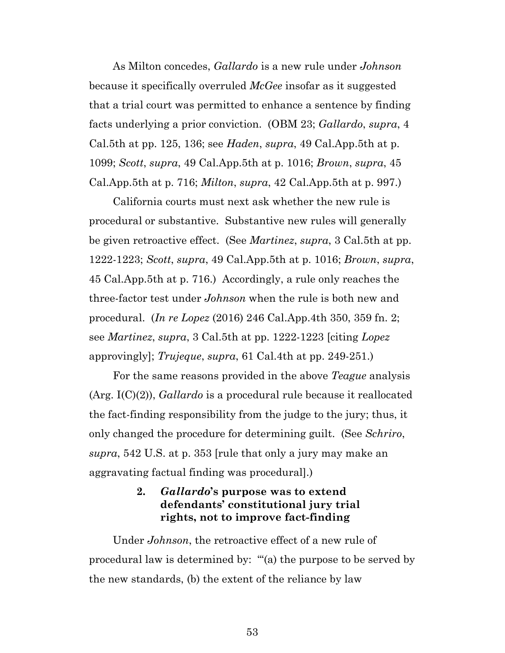As Milton concedes, *Gallardo* is a new rule under *Johnson* because it specifically overruled *McGee* insofar as it suggested that a trial court was permitted to enhance a sentence by finding facts underlying a prior conviction. (OBM 23; *Gallardo*, *supra*, 4 Cal.5th at pp. 125, 136; see *Haden*, *supra*, 49 Cal.App.5th at p. 1099; *Scott*, *supra*, 49 Cal.App.5th at p. 1016; *Brown*, *supra*, 45 Cal.App.5th at p. 716; *Milton*, *supra*, 42 Cal.App.5th at p. 997.)

California courts must next ask whether the new rule is procedural or substantive. Substantive new rules will generally be given retroactive effect. (See *Martinez*, *supra*, 3 Cal.5th at pp. 1222-1223; *Scott*, *supra*, 49 Cal.App.5th at p. 1016; *Brown*, *supra*, 45 Cal.App.5th at p. 716.) Accordingly, a rule only reaches the three-factor test under *Johnson* when the rule is both new and procedural. (*In re Lopez* (2016) 246 Cal.App.4th 350, 359 fn. 2; see *Martinez*, *supra*, 3 Cal.5th at pp. 1222-1223 [citing *Lopez* approvingly]; *Trujeque*, *supra*, 61 Cal.4th at pp. 249-251.)

For the same reasons provided in the above *Teague* analysis (Arg. I(C)(2)), *Gallardo* is a procedural rule because it reallocated the fact-finding responsibility from the judge to the jury; thus, it only changed the procedure for determining guilt. (See *Schriro*, *supra*, 542 U.S. at p. 353 [rule that only a jury may make an aggravating factual finding was procedural].)

### **2.** *Gallardo***'s purpose was to extend defendants' constitutional jury trial rights, not to improve fact-finding**

Under *Johnson*, the retroactive effect of a new rule of procedural law is determined by: "'(a) the purpose to be served by the new standards, (b) the extent of the reliance by law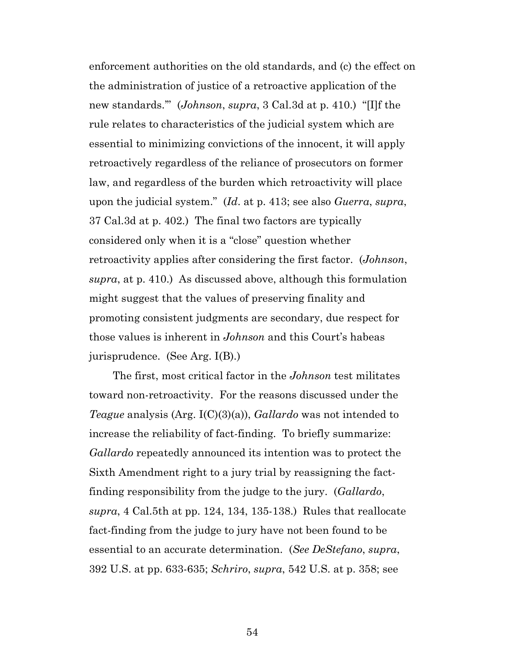enforcement authorities on the old standards, and (c) the effect on the administration of justice of a retroactive application of the new standards.'" (*Johnson*, *supra*, 3 Cal.3d at p. 410.) "[I]f the rule relates to characteristics of the judicial system which are essential to minimizing convictions of the innocent, it will apply retroactively regardless of the reliance of prosecutors on former law, and regardless of the burden which retroactivity will place upon the judicial system." (*Id*. at p. 413; see also *Guerra*, *supra*, 37 Cal.3d at p. 402.) The final two factors are typically considered only when it is a "close" question whether retroactivity applies after considering the first factor. (*Johnson*, *supra*, at p. 410.) As discussed above, although this formulation might suggest that the values of preserving finality and promoting consistent judgments are secondary, due respect for those values is inherent in *Johnson* and this Court's habeas jurisprudence. (See Arg. I(B).)

The first, most critical factor in the *Johnson* test militates toward non-retroactivity. For the reasons discussed under the *Teague* analysis (Arg. I(C)(3)(a)), *Gallardo* was not intended to increase the reliability of fact-finding. To briefly summarize: *Gallardo* repeatedly announced its intention was to protect the Sixth Amendment right to a jury trial by reassigning the factfinding responsibility from the judge to the jury. (*Gallardo*, *supra*, 4 Cal.5th at pp. 124, 134, 135-138.) Rules that reallocate fact-finding from the judge to jury have not been found to be essential to an accurate determination. (*See DeStefano*, *supra*, 392 U.S. at pp. 633-635; *Schriro*, *supra*, 542 U.S. at p. 358; see

54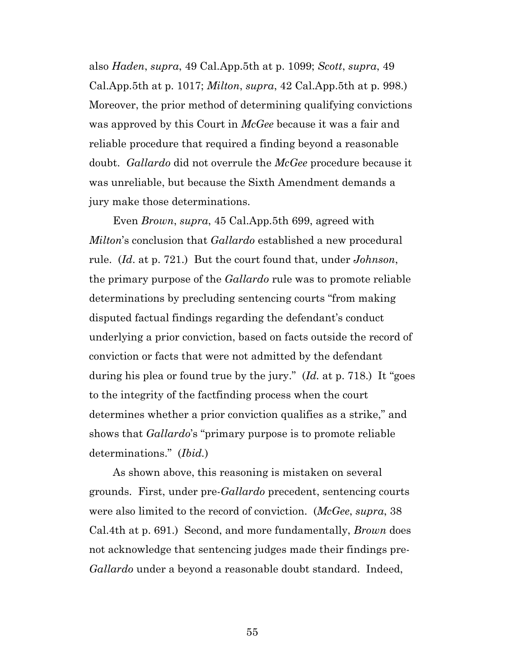also *Haden*, *supra*, 49 Cal.App.5th at p. 1099; *Scott*, *supra*, 49 Cal.App.5th at p. 1017; *Milton*, *supra*, 42 Cal.App.5th at p. 998.) Moreover, the prior method of determining qualifying convictions was approved by this Court in *McGee* because it was a fair and reliable procedure that required a finding beyond a reasonable doubt. *Gallardo* did not overrule the *McGee* procedure because it was unreliable, but because the Sixth Amendment demands a jury make those determinations.

Even *Brown*, *supra*, 45 Cal.App.5th 699, agreed with *Milton*'s conclusion that *Gallardo* established a new procedural rule. (*Id*. at p. 721.) But the court found that, under *Johnson*, the primary purpose of the *Gallardo* rule was to promote reliable determinations by precluding sentencing courts "from making disputed factual findings regarding the defendant's conduct underlying a prior conviction, based on facts outside the record of conviction or facts that were not admitted by the defendant during his plea or found true by the jury." (*Id.* at p. 718.) It "goes to the integrity of the factfinding process when the court determines whether a prior conviction qualifies as a strike," and shows that *Gallardo*'s "primary purpose is to promote reliable determinations." (*Ibid.*)

As shown above, this reasoning is mistaken on several grounds. First, under pre-*Gallardo* precedent, sentencing courts were also limited to the record of conviction. (*McGee*, *supra*, 38 Cal.4th at p. 691.) Second, and more fundamentally, *Brown* does not acknowledge that sentencing judges made their findings pre-*Gallardo* under a beyond a reasonable doubt standard. Indeed,

55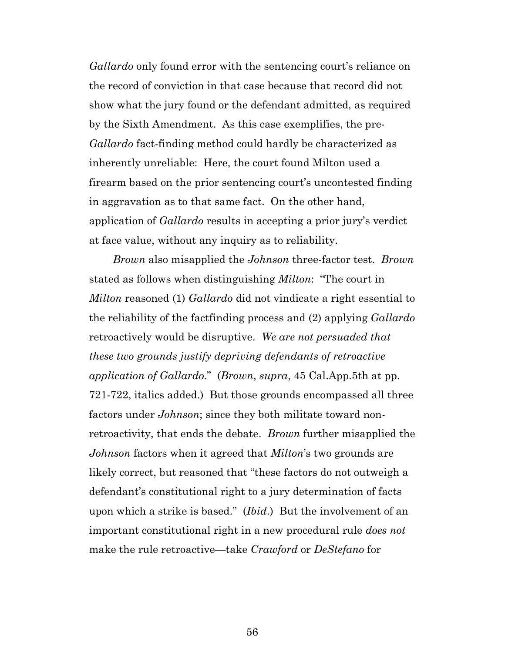*Gallardo* only found error with the sentencing court's reliance on the record of conviction in that case because that record did not show what the jury found or the defendant admitted, as required by the Sixth Amendment. As this case exemplifies, the pre-*Gallardo* fact-finding method could hardly be characterized as inherently unreliable: Here, the court found Milton used a firearm based on the prior sentencing court's uncontested finding in aggravation as to that same fact. On the other hand, application of *Gallardo* results in accepting a prior jury's verdict at face value, without any inquiry as to reliability.

*Brown* also misapplied the *Johnson* three-factor test. *Brown* stated as follows when distinguishing *Milton*: "The court in *Milton* reasoned (1) *Gallardo* did not vindicate a right essential to the reliability of the factfinding process and (2) applying *Gallardo* retroactively would be disruptive. *We are not persuaded that these two grounds justify depriving defendants of retroactive application of Gallardo.*" (*Brown*, *supra*, 45 Cal.App.5th at pp. 721-722, italics added.) But those grounds encompassed all three factors under *Johnson*; since they both militate toward nonretroactivity, that ends the debate. *Brown* further misapplied the *Johnson* factors when it agreed that *Milton*'s two grounds are likely correct, but reasoned that "these factors do not outweigh a defendant's constitutional right to a jury determination of facts upon which a strike is based." (*Ibid*.) But the involvement of an important constitutional right in a new procedural rule *does not* make the rule retroactive—take *Crawford* or *DeStefano* for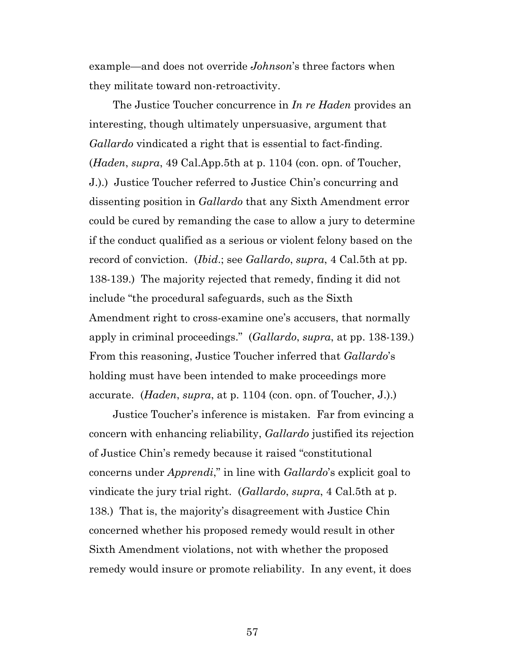example—and does not override *Johnson*'s three factors when they militate toward non-retroactivity.

The Justice Toucher concurrence in *In re Haden* provides an interesting, though ultimately unpersuasive, argument that *Gallardo* vindicated a right that is essential to fact-finding. (*Haden*, *supra*, 49 Cal.App.5th at p. 1104 (con. opn. of Toucher, J.).) Justice Toucher referred to Justice Chin's concurring and dissenting position in *Gallardo* that any Sixth Amendment error could be cured by remanding the case to allow a jury to determine if the conduct qualified as a serious or violent felony based on the record of conviction. (*Ibid*.; see *Gallardo*, *supra*, 4 Cal.5th at pp. 138-139.) The majority rejected that remedy, finding it did not include "the procedural safeguards, such as the Sixth Amendment right to cross-examine one's accusers, that normally apply in criminal proceedings." (*Gallardo*, *supra*, at pp. 138-139.) From this reasoning, Justice Toucher inferred that *Gallardo*'s holding must have been intended to make proceedings more accurate. (*Haden*, *supra*, at p. 1104 (con. opn. of Toucher, J.).)

Justice Toucher's inference is mistaken. Far from evincing a concern with enhancing reliability, *Gallardo* justified its rejection of Justice Chin's remedy because it raised "constitutional concerns under *Apprendi*," in line with *Gallardo*'s explicit goal to vindicate the jury trial right. (*Gallardo*, *supra*, 4 Cal.5th at p. 138.) That is, the majority's disagreement with Justice Chin concerned whether his proposed remedy would result in other Sixth Amendment violations, not with whether the proposed remedy would insure or promote reliability. In any event, it does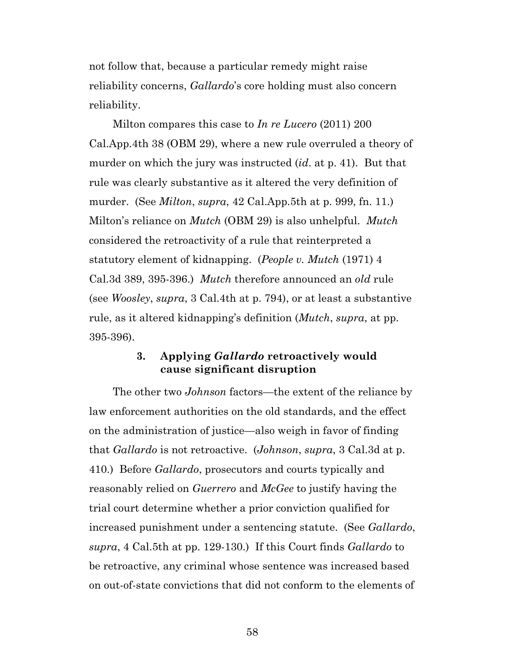not follow that, because a particular remedy might raise reliability concerns, *Gallardo*'s core holding must also concern reliability.

Milton compares this case to *In re Lucero* (2011) 200 Cal.App.4th 38 (OBM 29), where a new rule overruled a theory of murder on which the jury was instructed (*id*. at p. 41). But that rule was clearly substantive as it altered the very definition of murder. (See *Milton*, *supra*, 42 Cal.App.5th at p. 999, fn. 11.) Milton's reliance on *Mutch* (OBM 29) is also unhelpful. *Mutch* considered the retroactivity of a rule that reinterpreted a statutory element of kidnapping. (*People v. Mutch* (1971) 4 Cal.3d 389, 395-396.) *Mutch* therefore announced an *old* rule (see *Woosley*, *supra*, 3 Cal.4th at p. 794), or at least a substantive rule, as it altered kidnapping's definition (*Mutch*, *supra*, at pp. 395-396).

#### **3. Applying** *Gallardo* **retroactively would cause significant disruption**

The other two *Johnson* factors—the extent of the reliance by law enforcement authorities on the old standards, and the effect on the administration of justice—also weigh in favor of finding that *Gallardo* is not retroactive. (*Johnson*, *supra*, 3 Cal.3d at p. 410.) Before *Gallardo*, prosecutors and courts typically and reasonably relied on *Guerrero* and *McGee* to justify having the trial court determine whether a prior conviction qualified for increased punishment under a sentencing statute. (See *Gallardo*, *supra*, 4 Cal.5th at pp. 129-130.) If this Court finds *Gallardo* to be retroactive, any criminal whose sentence was increased based on out-of-state convictions that did not conform to the elements of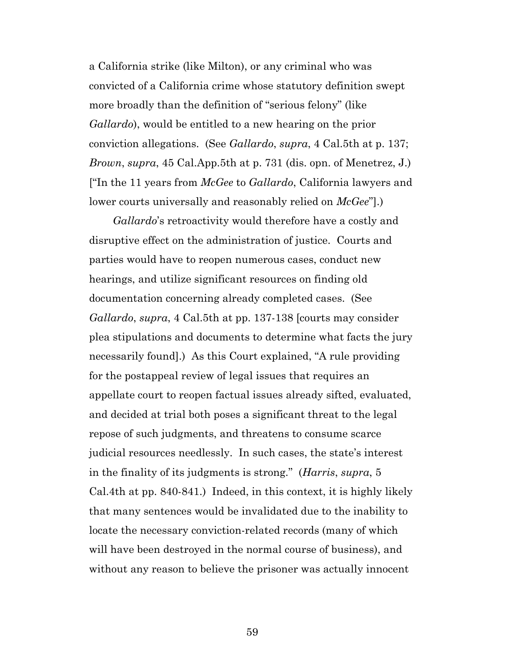a California strike (like Milton), or any criminal who was convicted of a California crime whose statutory definition swept more broadly than the definition of "serious felony" (like *Gallardo*), would be entitled to a new hearing on the prior conviction allegations. (See *Gallardo*, *supra*, 4 Cal.5th at p. 137; *Brown*, *supra*, 45 Cal.App.5th at p. 731 (dis. opn. of Menetrez, J.) ["In the 11 years from *McGee* to *Gallardo*, California lawyers and lower courts universally and reasonably relied on *McGee*"].)

*Gallardo*'s retroactivity would therefore have a costly and disruptive effect on the administration of justice. Courts and parties would have to reopen numerous cases, conduct new hearings, and utilize significant resources on finding old documentation concerning already completed cases. (See *Gallardo*, *supra*, 4 Cal.5th at pp. 137-138 [courts may consider plea stipulations and documents to determine what facts the jury necessarily found].) As this Court explained, "A rule providing for the postappeal review of legal issues that requires an appellate court to reopen factual issues already sifted, evaluated, and decided at trial both poses a significant threat to the legal repose of such judgments, and threatens to consume scarce judicial resources needlessly. In such cases, the state's interest in the finality of its judgments is strong." (*Harris*, *supra*, 5 Cal.4th at pp. 840-841.) Indeed, in this context, it is highly likely that many sentences would be invalidated due to the inability to locate the necessary conviction-related records (many of which will have been destroyed in the normal course of business), and without any reason to believe the prisoner was actually innocent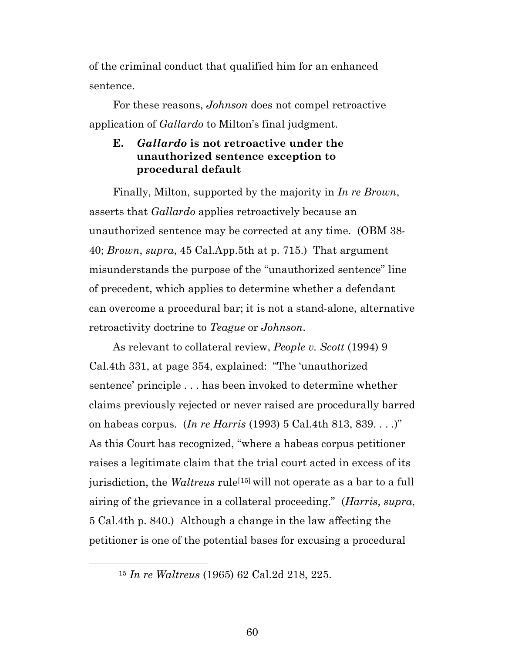of the criminal conduct that qualified him for an enhanced sentence.

For these reasons, *Johnson* does not compel retroactive application of *Gallardo* to Milton's final judgment.

#### **E.** *Gallardo* **is not retroactive under the unauthorized sentence exception to procedural default**

Finally, Milton, supported by the majority in *In re Brown*, asserts that *Gallardo* applies retroactively because an unauthorized sentence may be corrected at any time. (OBM 38- 40; *Brown*, *supra*, 45 Cal.App.5th at p. 715.) That argument misunderstands the purpose of the "unauthorized sentence" line of precedent, which applies to determine whether a defendant can overcome a procedural bar; it is not a stand-alone, alternative retroactivity doctrine to *Teague* or *Johnson*.

As relevant to collateral review, *People v. Scott* (1994) 9 Cal.4th 331, at page 354, explained: "The 'unauthorized sentence' principle . . . has been invoked to determine whether claims previously rejected or never raised are procedurally barred on habeas corpus. (*In re Harris* (1993) 5 Cal.4th 813, 839. . . .)" As this Court has recognized, "where a habeas corpus petitioner raises a legitimate claim that the trial court acted in excess of its jurisdiction, the *Waltreus* rule<sup>[[15](#page-59-0)]</sup> will not operate as a bar to a full airing of the grievance in a collateral proceeding." (*Harris*, *supra*, 5 Cal.4th p. 840.) Although a change in the law affecting the petitioner is one of the potential bases for excusing a procedural

<span id="page-59-0"></span>15 *In re Waltreus* (1965) 62 Cal.2d 218, 225.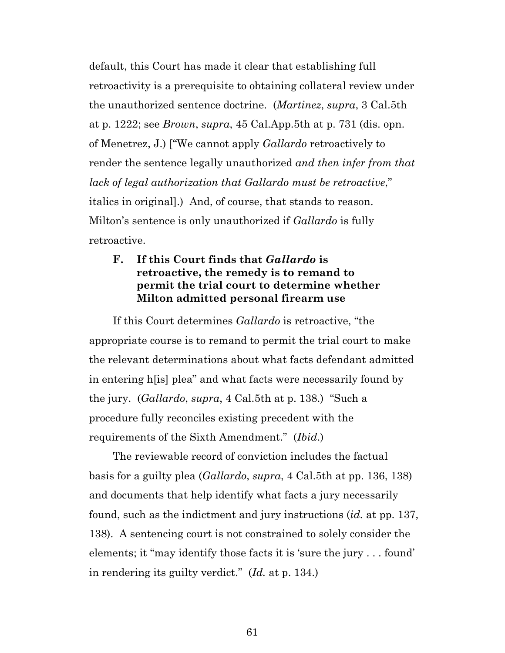default, this Court has made it clear that establishing full retroactivity is a prerequisite to obtaining collateral review under the unauthorized sentence doctrine. (*Martinez*, *supra*, 3 Cal.5th at p. 1222; see *Brown*, *supra*, 45 Cal.App.5th at p. 731 (dis. opn. of Menetrez, J.) ["We cannot apply *Gallardo* retroactively to render the sentence legally unauthorized *and then infer from that lack of legal authorization that Gallardo must be retroactive*," italics in original].) And, of course, that stands to reason. Milton's sentence is only unauthorized if *Gallardo* is fully retroactive.

### **F. If this Court finds that** *Gallardo* **is retroactive, the remedy is to remand to permit the trial court to determine whether Milton admitted personal firearm use**

If this Court determines *Gallardo* is retroactive, "the appropriate course is to remand to permit the trial court to make the relevant determinations about what facts defendant admitted in entering h[is] plea" and what facts were necessarily found by the jury. (*Gallardo*, *supra*, 4 Cal.5th at p. 138.) "Such a procedure fully reconciles existing precedent with the requirements of the Sixth Amendment." (*Ibid*.)

The reviewable record of conviction includes the factual basis for a guilty plea (*Gallardo*, *supra*, 4 Cal.5th at pp. 136, 138) and documents that help identify what facts a jury necessarily found, such as the indictment and jury instructions (*id.* at pp. 137, 138). A sentencing court is not constrained to solely consider the elements; it "may identify those facts it is 'sure the jury . . . found' in rendering its guilty verdict." (*Id.* at p. 134.)

61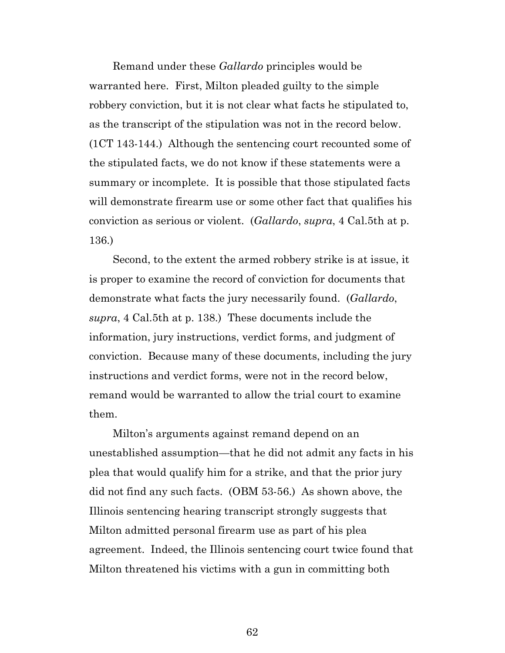Remand under these *Gallardo* principles would be warranted here. First, Milton pleaded guilty to the simple robbery conviction, but it is not clear what facts he stipulated to, as the transcript of the stipulation was not in the record below. (1CT 143-144.) Although the sentencing court recounted some of the stipulated facts, we do not know if these statements were a summary or incomplete. It is possible that those stipulated facts will demonstrate firearm use or some other fact that qualifies his conviction as serious or violent. (*Gallardo*, *supra*, 4 Cal.5th at p. 136.)

Second, to the extent the armed robbery strike is at issue, it is proper to examine the record of conviction for documents that demonstrate what facts the jury necessarily found. (*Gallardo*, *supra*, 4 Cal.5th at p. 138.) These documents include the information, jury instructions, verdict forms, and judgment of conviction. Because many of these documents, including the jury instructions and verdict forms, were not in the record below, remand would be warranted to allow the trial court to examine them.

Milton's arguments against remand depend on an unestablished assumption—that he did not admit any facts in his plea that would qualify him for a strike, and that the prior jury did not find any such facts. (OBM 53-56.) As shown above, the Illinois sentencing hearing transcript strongly suggests that Milton admitted personal firearm use as part of his plea agreement. Indeed, the Illinois sentencing court twice found that Milton threatened his victims with a gun in committing both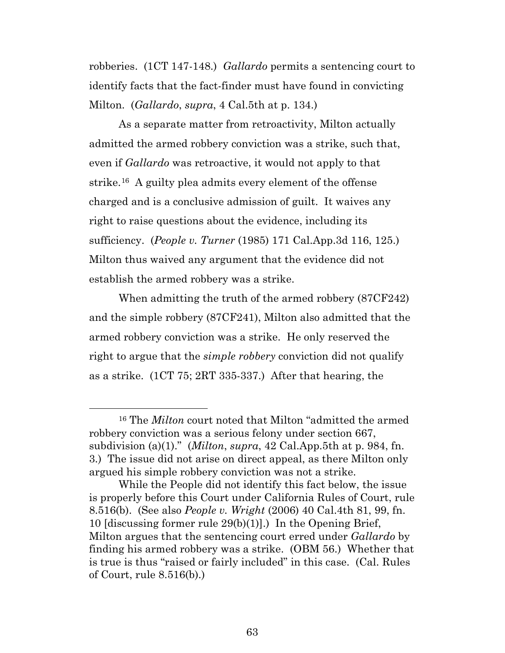robberies. (1CT 147-148.) *Gallardo* permits a sentencing court to identify facts that the fact-finder must have found in convicting Milton. (*Gallardo*, *supra*, 4 Cal.5th at p. 134.)

As a separate matter from retroactivity, Milton actually admitted the armed robbery conviction was a strike, such that, even if *Gallardo* was retroactive, it would not apply to that strike.[16](#page-62-0) A guilty plea admits every element of the offense charged and is a conclusive admission of guilt. It waives any right to raise questions about the evidence, including its sufficiency. (*People v. Turner* (1985) 171 Cal.App.3d 116, 125.) Milton thus waived any argument that the evidence did not establish the armed robbery was a strike.

When admitting the truth of the armed robbery (87CF242) and the simple robbery (87CF241), Milton also admitted that the armed robbery conviction was a strike. He only reserved the right to argue that the *simple robbery* conviction did not qualify as a strike. (1CT 75; 2RT 335-337.) After that hearing, the

<span id="page-62-0"></span> <sup>16</sup> The *Milton* court noted that Milton "admitted the armed robbery conviction was a serious felony under section 667, subdivision (a)(1)." (*Milton*, *supra*, 42 Cal.App.5th at p. 984, fn. 3.) The issue did not arise on direct appeal, as there Milton only argued his simple robbery conviction was not a strike.

While the People did not identify this fact below, the issue is properly before this Court under California Rules of Court, rule 8.516(b). (See also *People v. Wright* (2006) 40 Cal.4th 81, 99, fn. 10 [discussing former rule 29(b)(1)].) In the Opening Brief, Milton argues that the sentencing court erred under *Gallardo* by finding his armed robbery was a strike. (OBM 56.) Whether that is true is thus "raised or fairly included" in this case. (Cal. Rules of Court, rule 8.516(b).)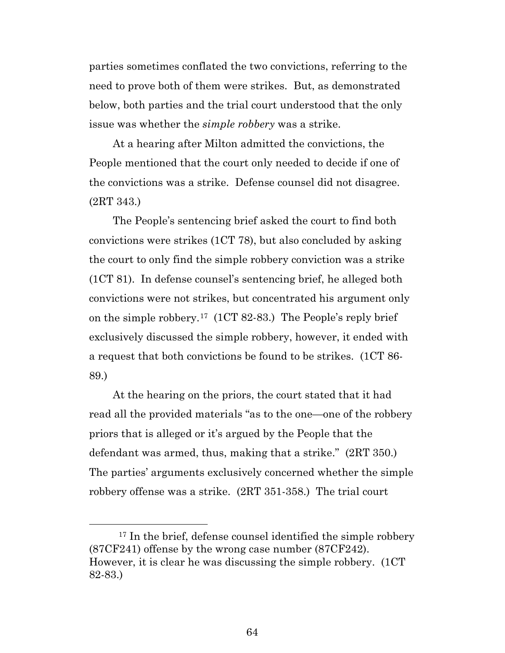parties sometimes conflated the two convictions, referring to the need to prove both of them were strikes. But, as demonstrated below, both parties and the trial court understood that the only issue was whether the *simple robbery* was a strike.

At a hearing after Milton admitted the convictions, the People mentioned that the court only needed to decide if one of the convictions was a strike. Defense counsel did not disagree. (2RT 343.)

The People's sentencing brief asked the court to find both convictions were strikes (1CT 78), but also concluded by asking the court to only find the simple robbery conviction was a strike (1CT 81). In defense counsel's sentencing brief, he alleged both convictions were not strikes, but concentrated his argument only on the simple robbery.[17](#page-63-0) (1CT 82-83.) The People's reply brief exclusively discussed the simple robbery, however, it ended with a request that both convictions be found to be strikes. (1CT 86- 89.)

At the hearing on the priors, the court stated that it had read all the provided materials "as to the one—one of the robbery priors that is alleged or it's argued by the People that the defendant was armed, thus, making that a strike." (2RT 350.) The parties' arguments exclusively concerned whether the simple robbery offense was a strike. (2RT 351-358.) The trial court

<span id="page-63-0"></span><sup>&</sup>lt;sup>17</sup> In the brief, defense counsel identified the simple robbery (87CF241) offense by the wrong case number (87CF242). However, it is clear he was discussing the simple robbery. (1CT 82-83.)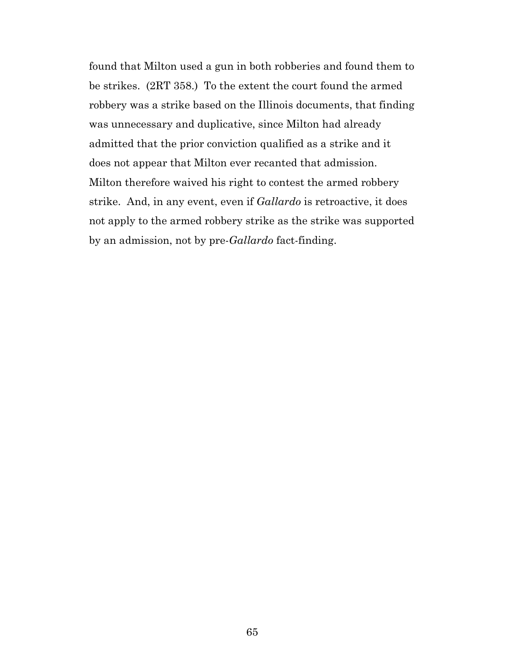found that Milton used a gun in both robberies and found them to be strikes. (2RT 358.) To the extent the court found the armed robbery was a strike based on the Illinois documents, that finding was unnecessary and duplicative, since Milton had already admitted that the prior conviction qualified as a strike and it does not appear that Milton ever recanted that admission. Milton therefore waived his right to contest the armed robbery strike. And, in any event, even if *Gallardo* is retroactive, it does not apply to the armed robbery strike as the strike was supported by an admission, not by pre-*Gallardo* fact-finding.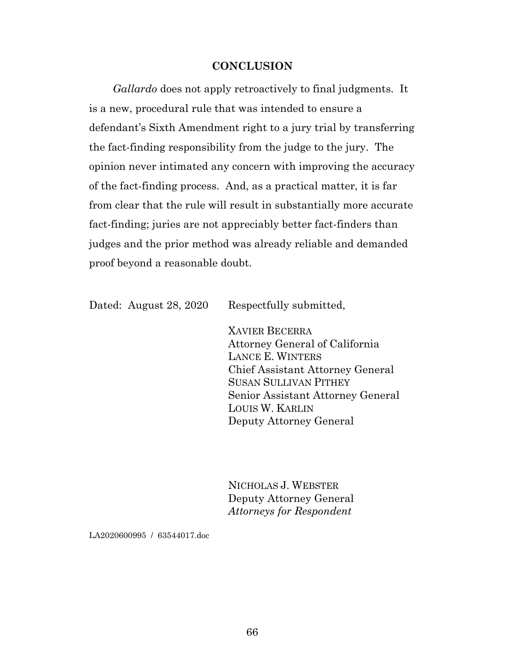#### **CONCLUSION**

*Gallardo* does not apply retroactively to final judgments. It is a new, procedural rule that was intended to ensure a defendant's Sixth Amendment right to a jury trial by transferring the fact-finding responsibility from the judge to the jury. The opinion never intimated any concern with improving the accuracy of the fact-finding process. And, as a practical matter, it is far from clear that the rule will result in substantially more accurate fact-finding; juries are not appreciably better fact-finders than judges and the prior method was already reliable and demanded proof beyond a reasonable doubt.

Dated: August 28, 2020 Respectfully submitted,

XAVIER BECERRA Attorney General of California LANCE E. WINTERS Chief Assistant Attorney General SUSAN SULLIVAN PITHEY Senior Assistant Attorney General LOUIS W. KARLIN Deputy Attorney General

NICHOLAS J. WEBSTER Deputy Attorney General *Attorneys for Respondent*

LA2020600995 / 63544017.doc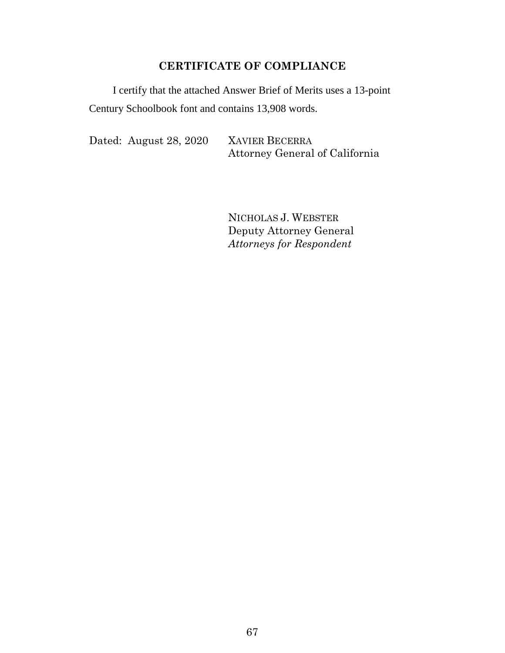### **CERTIFICATE OF COMPLIANCE**

I certify that the attached Answer Brief of Merits uses a 13-point Century Schoolbook font and contains 13,908 words.

Dated: August 28, 2020 XAVIER BECERRA

Attorney General of California

NICHOLAS J. WEBSTER Deputy Attorney General *Attorneys for Respondent*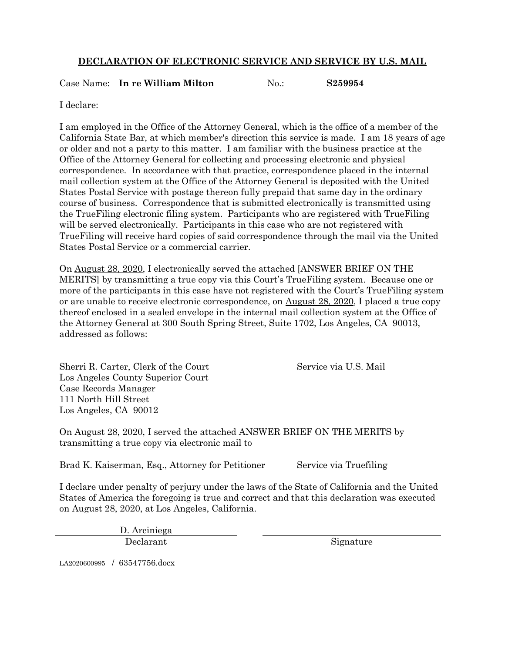#### **DECLARATION OF ELECTRONIC SERVICE AND SERVICE BY U.S. MAIL**

Case Name: **In re William Milton** No.: **S259954** 

I declare:

I am employed in the Office of the Attorney General, which is the office of a member of the California State Bar, at which member's direction this service is made. I am 18 years of age or older and not a party to this matter. I am familiar with the business practice at the Office of the Attorney General for collecting and processing electronic and physical correspondence. In accordance with that practice, correspondence placed in the internal mail collection system at the Office of the Attorney General is deposited with the United States Postal Service with postage thereon fully prepaid that same day in the ordinary course of business. Correspondence that is submitted electronically is transmitted using the TrueFiling electronic filing system. Participants who are registered with TrueFiling will be served electronically. Participants in this case who are not registered with TrueFiling will receive hard copies of said correspondence through the mail via the United States Postal Service or a commercial carrier.

On August 28, 2020, I electronically served the attached [ANSWER BRIEF ON THE MERITS by transmitting a true copy via this Court's True Filing system. Because one or more of the participants in this case have not registered with the Court's True Filing system or are unable to receive electronic correspondence, on August 28, 2020, I placed a true copy thereof enclosed in a sealed envelope in the internal mail collection system at the Office of the Attorney General at 300 South Spring Street, Suite 1702, Los Angeles, CA 90013, addressed as follows:

Sherri R. Carter, Clerk of the Court Service via U.S. Mail Los Angeles County Superior Court Case Records Manager 111 North Hill Street Los Angeles, CA 90012

On August 28, 2020, I served the attached ANSWER BRIEF ON THE MERITS by transmitting a true copy via electronic mail to

Brad K. Kaiserman, Esq., Attorney for Petitioner Service via Truefiling

I declare under penalty of perjury under the laws of the State of California and the United States of America the foregoing is true and correct and that this declaration was executed on August 28, 2020, at Los Angeles, California.

> D. Arciniega Declarant Signature

LA2020600995 / 63547756.docx